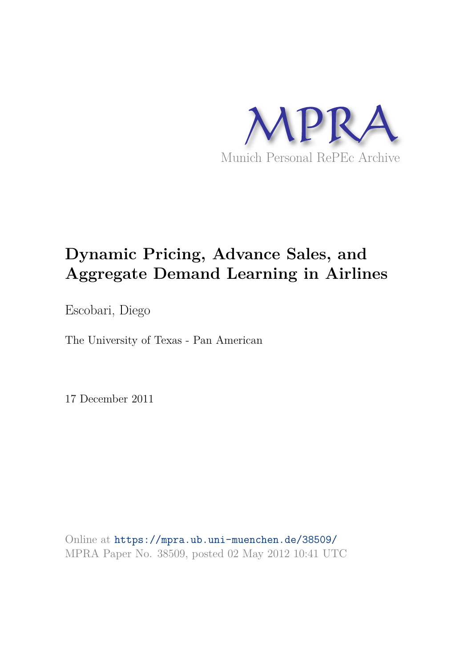

# **Dynamic Pricing, Advance Sales, and Aggregate Demand Learning in Airlines**

Escobari, Diego

The University of Texas - Pan American

17 December 2011

Online at https://mpra.ub.uni-muenchen.de/38509/ MPRA Paper No. 38509, posted 02 May 2012 10:41 UTC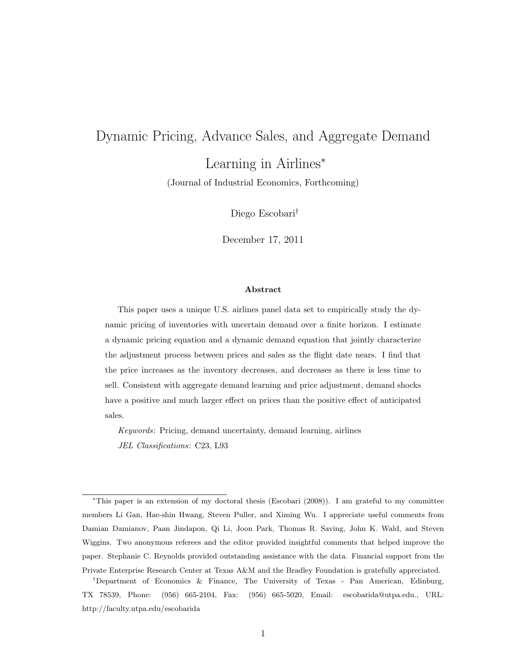## Dynamic Pricing, Advance Sales, and Aggregate Demand

Learning in Airlines<sup>∗</sup>

(Journal of Industrial Economics, Forthcoming)

Diego Escobari†

December 17, 2011

#### Abstract

This paper uses a unique U.S. airlines panel data set to empirically study the dynamic pricing of inventories with uncertain demand over a finite horizon. I estimate a dynamic pricing equation and a dynamic demand equation that jointly characterize the adjustment process between prices and sales as the flight date nears. I find that the price increases as the inventory decreases, and decreases as there is less time to sell. Consistent with aggregate demand learning and price adjustment, demand shocks have a positive and much larger effect on prices than the positive effect of anticipated sales.

Keywords: Pricing, demand uncertainty, demand learning, airlines JEL Classifications: C23, L93

<sup>∗</sup>This paper is an extension of my doctoral thesis (Escobari (2008)). I am grateful to my committee members Li Gan, Hae-shin Hwang, Steven Puller, and Ximing Wu. I appreciate useful comments from Damian Damianov, Paan Jindapon, Qi Li, Joon Park, Thomas R. Saving, John K. Wald, and Steven Wiggins. Two anonymous referees and the editor provided insightful comments that helped improve the paper. Stephanie C. Reynolds provided outstanding assistance with the data. Financial support from the Private Enterprise Research Center at Texas A&M and the Bradley Foundation is gratefully appreciated.

<sup>†</sup>Department of Economics & Finance, The University of Texas - Pan American, Edinburg, TX 78539, Phone: (956) 665-2104, Fax: (956) 665-5020, Email: escobarida@utpa.edu., URL: http://faculty.utpa.edu/escobarida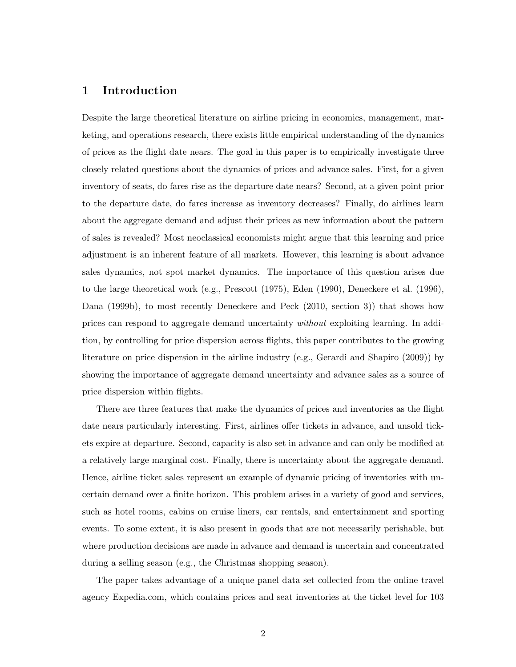## 1 Introduction

Despite the large theoretical literature on airline pricing in economics, management, marketing, and operations research, there exists little empirical understanding of the dynamics of prices as the flight date nears. The goal in this paper is to empirically investigate three closely related questions about the dynamics of prices and advance sales. First, for a given inventory of seats, do fares rise as the departure date nears? Second, at a given point prior to the departure date, do fares increase as inventory decreases? Finally, do airlines learn about the aggregate demand and adjust their prices as new information about the pattern of sales is revealed? Most neoclassical economists might argue that this learning and price adjustment is an inherent feature of all markets. However, this learning is about advance sales dynamics, not spot market dynamics. The importance of this question arises due to the large theoretical work (e.g., Prescott (1975), Eden (1990), Deneckere et al. (1996), Dana (1999b), to most recently Deneckere and Peck (2010, section 3)) that shows how prices can respond to aggregate demand uncertainty without exploiting learning. In addition, by controlling for price dispersion across flights, this paper contributes to the growing literature on price dispersion in the airline industry (e.g., Gerardi and Shapiro (2009)) by showing the importance of aggregate demand uncertainty and advance sales as a source of price dispersion within flights.

There are three features that make the dynamics of prices and inventories as the flight date nears particularly interesting. First, airlines offer tickets in advance, and unsold tickets expire at departure. Second, capacity is also set in advance and can only be modified at a relatively large marginal cost. Finally, there is uncertainty about the aggregate demand. Hence, airline ticket sales represent an example of dynamic pricing of inventories with uncertain demand over a finite horizon. This problem arises in a variety of good and services, such as hotel rooms, cabins on cruise liners, car rentals, and entertainment and sporting events. To some extent, it is also present in goods that are not necessarily perishable, but where production decisions are made in advance and demand is uncertain and concentrated during a selling season (e.g., the Christmas shopping season).

The paper takes advantage of a unique panel data set collected from the online travel agency Expedia.com, which contains prices and seat inventories at the ticket level for 103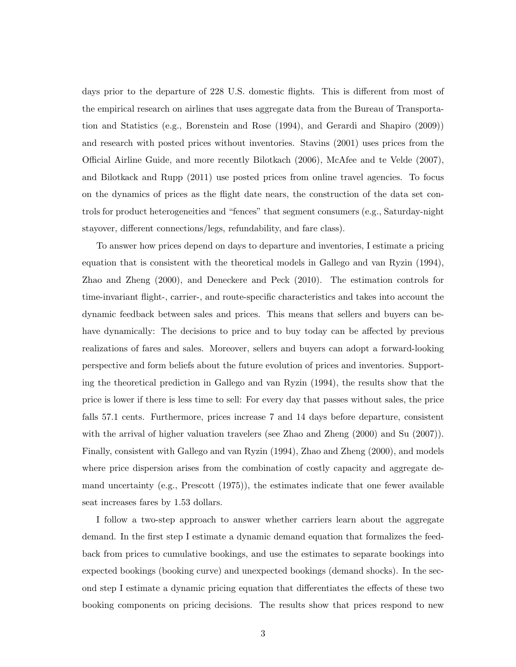days prior to the departure of 228 U.S. domestic flights. This is different from most of the empirical research on airlines that uses aggregate data from the Bureau of Transportation and Statistics (e.g., Borenstein and Rose (1994), and Gerardi and Shapiro (2009)) and research with posted prices without inventories. Stavins (2001) uses prices from the Official Airline Guide, and more recently Bilotkach (2006), McAfee and te Velde (2007), and Bilotkack and Rupp (2011) use posted prices from online travel agencies. To focus on the dynamics of prices as the flight date nears, the construction of the data set controls for product heterogeneities and "fences" that segment consumers (e.g., Saturday-night stayover, different connections/legs, refundability, and fare class).

To answer how prices depend on days to departure and inventories, I estimate a pricing equation that is consistent with the theoretical models in Gallego and van Ryzin (1994), Zhao and Zheng (2000), and Deneckere and Peck (2010). The estimation controls for time-invariant flight-, carrier-, and route-specific characteristics and takes into account the dynamic feedback between sales and prices. This means that sellers and buyers can behave dynamically: The decisions to price and to buy today can be affected by previous realizations of fares and sales. Moreover, sellers and buyers can adopt a forward-looking perspective and form beliefs about the future evolution of prices and inventories. Supporting the theoretical prediction in Gallego and van Ryzin (1994), the results show that the price is lower if there is less time to sell: For every day that passes without sales, the price falls 57.1 cents. Furthermore, prices increase 7 and 14 days before departure, consistent with the arrival of higher valuation travelers (see Zhao and Zheng (2000) and Su (2007)). Finally, consistent with Gallego and van Ryzin (1994), Zhao and Zheng (2000), and models where price dispersion arises from the combination of costly capacity and aggregate demand uncertainty  $(e.g.,$  Prescott  $(1975))$ , the estimates indicate that one fewer available seat increases fares by 1.53 dollars.

I follow a two-step approach to answer whether carriers learn about the aggregate demand. In the first step I estimate a dynamic demand equation that formalizes the feedback from prices to cumulative bookings, and use the estimates to separate bookings into expected bookings (booking curve) and unexpected bookings (demand shocks). In the second step I estimate a dynamic pricing equation that differentiates the effects of these two booking components on pricing decisions. The results show that prices respond to new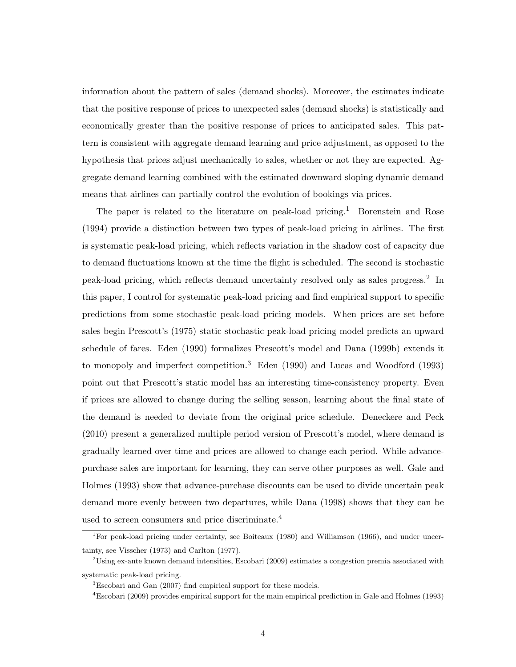information about the pattern of sales (demand shocks). Moreover, the estimates indicate that the positive response of prices to unexpected sales (demand shocks) is statistically and economically greater than the positive response of prices to anticipated sales. This pattern is consistent with aggregate demand learning and price adjustment, as opposed to the hypothesis that prices adjust mechanically to sales, whether or not they are expected. Aggregate demand learning combined with the estimated downward sloping dynamic demand means that airlines can partially control the evolution of bookings via prices.

The paper is related to the literature on peak-load pricing.<sup>1</sup> Borenstein and Rose (1994) provide a distinction between two types of peak-load pricing in airlines. The first is systematic peak-load pricing, which reflects variation in the shadow cost of capacity due to demand fluctuations known at the time the flight is scheduled. The second is stochastic peak-load pricing, which reflects demand uncertainty resolved only as sales progress.<sup>2</sup> In this paper, I control for systematic peak-load pricing and find empirical support to specific predictions from some stochastic peak-load pricing models. When prices are set before sales begin Prescott's (1975) static stochastic peak-load pricing model predicts an upward schedule of fares. Eden (1990) formalizes Prescott's model and Dana (1999b) extends it to monopoly and imperfect competition.<sup>3</sup> Eden (1990) and Lucas and Woodford (1993) point out that Prescott's static model has an interesting time-consistency property. Even if prices are allowed to change during the selling season, learning about the final state of the demand is needed to deviate from the original price schedule. Deneckere and Peck (2010) present a generalized multiple period version of Prescott's model, where demand is gradually learned over time and prices are allowed to change each period. While advancepurchase sales are important for learning, they can serve other purposes as well. Gale and Holmes (1993) show that advance-purchase discounts can be used to divide uncertain peak demand more evenly between two departures, while Dana (1998) shows that they can be used to screen consumers and price discriminate.<sup>4</sup>

<sup>1</sup>For peak-load pricing under certainty, see Boiteaux (1980) and Williamson (1966), and under uncertainty, see Visscher (1973) and Carlton (1977).

 $2^2$ Using ex-ante known demand intensities, Escobari (2009) estimates a congestion premia associated with systematic peak-load pricing.

<sup>3</sup>Escobari and Gan (2007) find empirical support for these models.

<sup>&</sup>lt;sup>4</sup>Escobari (2009) provides empirical support for the main empirical prediction in Gale and Holmes (1993)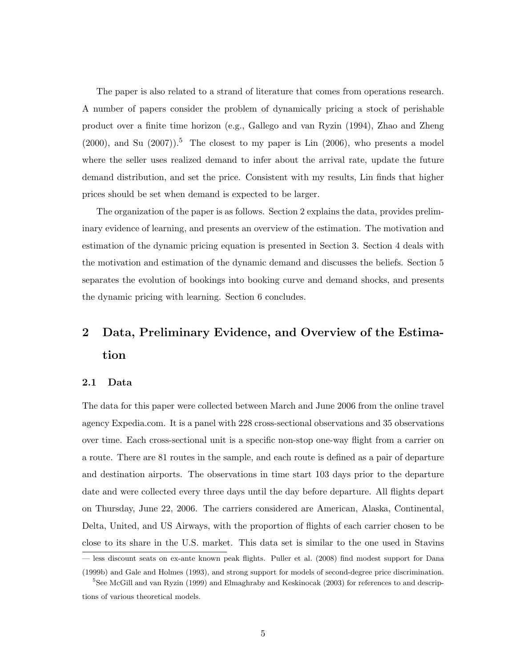The paper is also related to a strand of literature that comes from operations research. A number of papers consider the problem of dynamically pricing a stock of perishable product over a finite time horizon (e.g., Gallego and van Ryzin (1994), Zhao and Zheng  $(2000)$ , and Su  $(2007)$ .<sup>5</sup> The closest to my paper is Lin  $(2006)$ , who presents a model where the seller uses realized demand to infer about the arrival rate, update the future demand distribution, and set the price. Consistent with my results, Lin finds that higher prices should be set when demand is expected to be larger.

The organization of the paper is as follows. Section 2 explains the data, provides preliminary evidence of learning, and presents an overview of the estimation. The motivation and estimation of the dynamic pricing equation is presented in Section 3. Section 4 deals with the motivation and estimation of the dynamic demand and discusses the beliefs. Section 5 separates the evolution of bookings into booking curve and demand shocks, and presents the dynamic pricing with learning. Section 6 concludes.

## 2 Data, Preliminary Evidence, and Overview of the Estimation

#### 2.1 Data

The data for this paper were collected between March and June 2006 from the online travel agency Expedia.com. It is a panel with 228 cross-sectional observations and 35 observations over time. Each cross-sectional unit is a specific non-stop one-way flight from a carrier on a route. There are 81 routes in the sample, and each route is defined as a pair of departure and destination airports. The observations in time start 103 days prior to the departure date and were collected every three days until the day before departure. All flights depart on Thursday, June 22, 2006. The carriers considered are American, Alaska, Continental, Delta, United, and US Airways, with the proportion of flights of each carrier chosen to be close to its share in the U.S. market. This data set is similar to the one used in Stavins

<sup>—</sup> less discount seats on ex-ante known peak flights. Puller et al. (2008) find modest support for Dana (1999b) and Gale and Holmes (1993), and strong support for models of second-degree price discrimination.

<sup>&</sup>lt;sup>5</sup>See McGill and van Ryzin (1999) and Elmaghraby and Keskinocak (2003) for references to and descriptions of various theoretical models.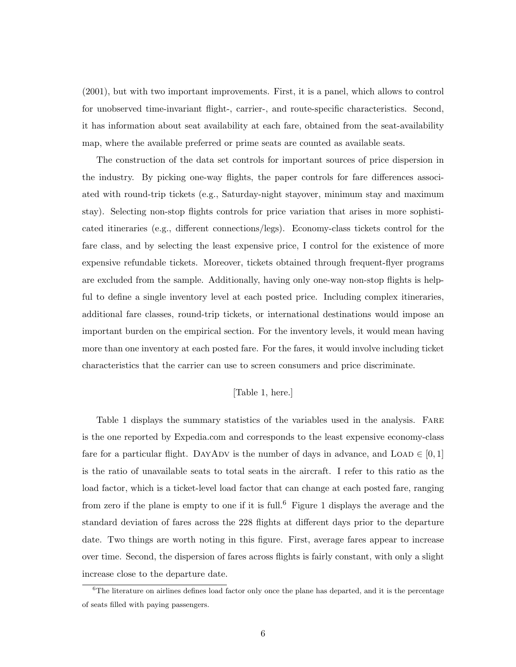(2001), but with two important improvements. First, it is a panel, which allows to control for unobserved time-invariant flight-, carrier-, and route-specific characteristics. Second, it has information about seat availability at each fare, obtained from the seat-availability map, where the available preferred or prime seats are counted as available seats.

The construction of the data set controls for important sources of price dispersion in the industry. By picking one-way flights, the paper controls for fare differences associated with round-trip tickets (e.g., Saturday-night stayover, minimum stay and maximum stay). Selecting non-stop flights controls for price variation that arises in more sophisticated itineraries (e.g., different connections/legs). Economy-class tickets control for the fare class, and by selecting the least expensive price, I control for the existence of more expensive refundable tickets. Moreover, tickets obtained through frequent-flyer programs are excluded from the sample. Additionally, having only one-way non-stop flights is helpful to define a single inventory level at each posted price. Including complex itineraries, additional fare classes, round-trip tickets, or international destinations would impose an important burden on the empirical section. For the inventory levels, it would mean having more than one inventory at each posted fare. For the fares, it would involve including ticket characteristics that the carrier can use to screen consumers and price discriminate.

#### [Table 1, here.]

Table 1 displays the summary statistics of the variables used in the analysis. Fare is the one reported by Expedia.com and corresponds to the least expensive economy-class fare for a particular flight. DAYADV is the number of days in advance, and  $LOAD \in [0,1]$ is the ratio of unavailable seats to total seats in the aircraft. I refer to this ratio as the load factor, which is a ticket-level load factor that can change at each posted fare, ranging from zero if the plane is empty to one if it is full.<sup>6</sup> Figure 1 displays the average and the standard deviation of fares across the 228 flights at different days prior to the departure date. Two things are worth noting in this figure. First, average fares appear to increase over time. Second, the dispersion of fares across flights is fairly constant, with only a slight increase close to the departure date.

 $6$ The literature on airlines defines load factor only once the plane has departed, and it is the percentage of seats filled with paying passengers.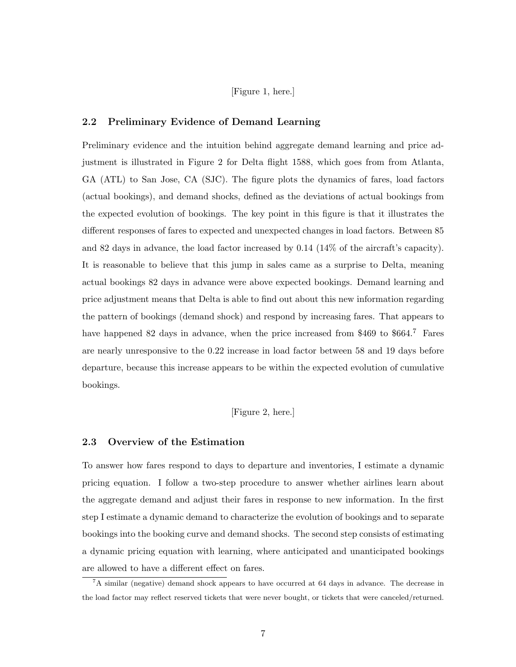#### [Figure 1, here.]

#### 2.2 Preliminary Evidence of Demand Learning

Preliminary evidence and the intuition behind aggregate demand learning and price adjustment is illustrated in Figure 2 for Delta flight 1588, which goes from from Atlanta, GA (ATL) to San Jose, CA (SJC). The figure plots the dynamics of fares, load factors (actual bookings), and demand shocks, defined as the deviations of actual bookings from the expected evolution of bookings. The key point in this figure is that it illustrates the different responses of fares to expected and unexpected changes in load factors. Between 85 and 82 days in advance, the load factor increased by 0.14 (14% of the aircraft's capacity). It is reasonable to believe that this jump in sales came as a surprise to Delta, meaning actual bookings 82 days in advance were above expected bookings. Demand learning and price adjustment means that Delta is able to find out about this new information regarding the pattern of bookings (demand shock) and respond by increasing fares. That appears to have happened 82 days in advance, when the price increased from \$469 to \$664.<sup>7</sup> Fares are nearly unresponsive to the 0.22 increase in load factor between 58 and 19 days before departure, because this increase appears to be within the expected evolution of cumulative bookings.

#### [Figure 2, here.]

#### 2.3 Overview of the Estimation

To answer how fares respond to days to departure and inventories, I estimate a dynamic pricing equation. I follow a two-step procedure to answer whether airlines learn about the aggregate demand and adjust their fares in response to new information. In the first step I estimate a dynamic demand to characterize the evolution of bookings and to separate bookings into the booking curve and demand shocks. The second step consists of estimating a dynamic pricing equation with learning, where anticipated and unanticipated bookings are allowed to have a different effect on fares.

<sup>7</sup>A similar (negative) demand shock appears to have occurred at 64 days in advance. The decrease in the load factor may reflect reserved tickets that were never bought, or tickets that were canceled/returned.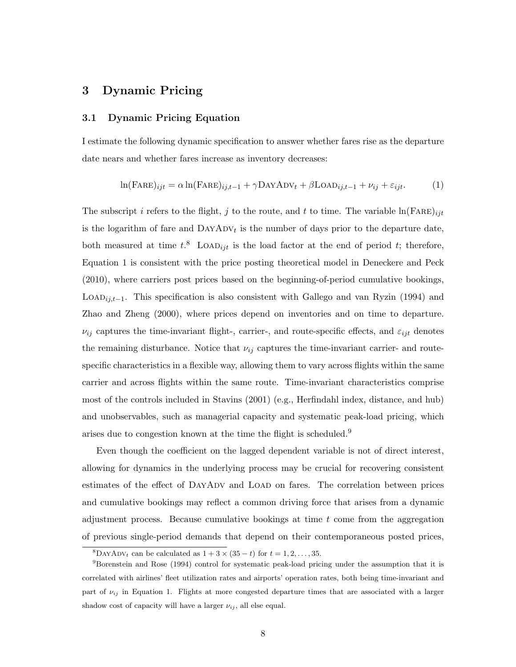## 3 Dynamic Pricing

#### 3.1 Dynamic Pricing Equation

I estimate the following dynamic specification to answer whether fares rise as the departure date nears and whether fares increase as inventory decreases:

$$
\ln(\text{FARE})_{ijt} = \alpha \ln(\text{FARE})_{ij,t-1} + \gamma \text{DAYADV}_t + \beta \text{LOAD}_{ij,t-1} + \nu_{ij} + \varepsilon_{ijt}.\tag{1}
$$

The subscript i refers to the flight, j to the route, and t to time. The variable  $\ln(\text{FARE})_{ijt}$ is the logarithm of fare and  $\text{DAYADV}_t$  is the number of days prior to the departure date, both measured at time  $t^8$ . LOAD<sub>ijt</sub> is the load factor at the end of period t; therefore, Equation 1 is consistent with the price posting theoretical model in Deneckere and Peck (2010), where carriers post prices based on the beginning-of-period cumulative bookings, LOAD<sub>ij,t−1</sub>. This specification is also consistent with Gallego and van Ryzin (1994) and Zhao and Zheng (2000), where prices depend on inventories and on time to departure.  $\nu_{ij}$  captures the time-invariant flight-, carrier-, and route-specific effects, and  $\varepsilon_{ijt}$  denotes the remaining disturbance. Notice that  $\nu_{ij}$  captures the time-invariant carrier- and routespecific characteristics in a flexible way, allowing them to vary across flights within the same carrier and across flights within the same route. Time-invariant characteristics comprise most of the controls included in Stavins (2001) (e.g., Herfindahl index, distance, and hub) and unobservables, such as managerial capacity and systematic peak-load pricing, which arises due to congestion known at the time the flight is scheduled.<sup>9</sup>

Even though the coefficient on the lagged dependent variable is not of direct interest, allowing for dynamics in the underlying process may be crucial for recovering consistent estimates of the effect of DayAdv and Load on fares. The correlation between prices and cumulative bookings may reflect a common driving force that arises from a dynamic adjustment process. Because cumulative bookings at time  $t$  come from the aggregation of previous single-period demands that depend on their contemporaneous posted prices,

<sup>&</sup>lt;sup>8</sup>DAYADV<sub>t</sub> can be calculated as  $1 + 3 \times (35 - t)$  for  $t = 1, 2, \ldots, 35$ .

<sup>&</sup>lt;sup>9</sup>Borenstein and Rose (1994) control for systematic peak-load pricing under the assumption that it is correlated with airlines' fleet utilization rates and airports' operation rates, both being time-invariant and part of  $\nu_{ij}$  in Equation 1. Flights at more congested departure times that are associated with a larger shadow cost of capacity will have a larger  $\nu_{ij}$ , all else equal.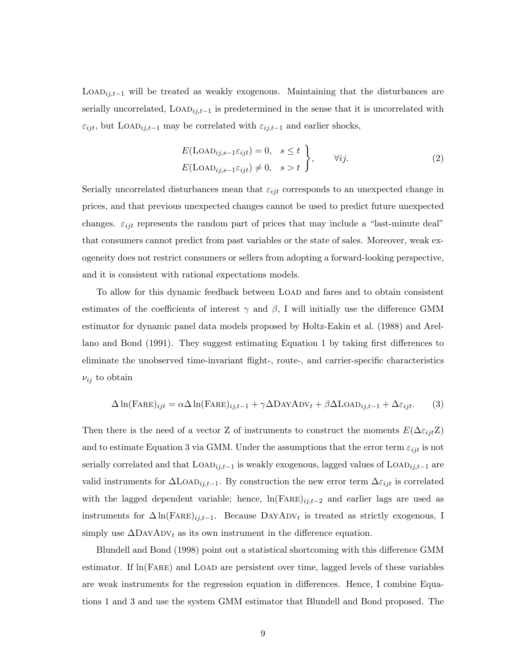LOAD<sub>ij,t−1</sub> will be treated as weakly exogenous. Maintaining that the disturbances are serially uncorrelated,  $\text{LOAD}_{ij,t-1}$  is predetermined in the sense that it is uncorrelated with  $\varepsilon_{ijt}$ , but LOAD<sub>ij,t−1</sub> may be correlated with  $\varepsilon_{ij,t-1}$  and earlier shocks,

$$
E(\text{LOAD}_{ij,s-1}\varepsilon_{ijt}) = 0, \quad s \le t \}E(\text{LOAD}_{ij,s-1}\varepsilon_{ijt}) \ne 0, \quad s > t \}
$$
,  $\forall ij.$  (2)

Serially uncorrelated disturbances mean that  $\varepsilon_{ijt}$  corresponds to an unexpected change in prices, and that previous unexpected changes cannot be used to predict future unexpected changes.  $\varepsilon_{ijt}$  represents the random part of prices that may include a "last-minute deal" that consumers cannot predict from past variables or the state of sales. Moreover, weak exogeneity does not restrict consumers or sellers from adopting a forward-looking perspective, and it is consistent with rational expectations models.

To allow for this dynamic feedback between Load and fares and to obtain consistent estimates of the coefficients of interest  $\gamma$  and  $\beta$ , I will initially use the difference GMM estimator for dynamic panel data models proposed by Holtz-Eakin et al. (1988) and Arellano and Bond (1991). They suggest estimating Equation 1 by taking first differences to eliminate the unobserved time-invariant flight-, route-, and carrier-specific characteristics  $\nu_{ij}$  to obtain

$$
\Delta \ln(\text{FARE})_{ijt} = \alpha \Delta \ln(\text{FARE})_{ij,t-1} + \gamma \Delta \text{DAYADV}_t + \beta \Delta \text{LOAD}_{ij,t-1} + \Delta \varepsilon_{ijt}.
$$
 (3)

Then there is the need of a vector Z of instruments to construct the moments  $E(\Delta \epsilon_{ijt}Z)$ and to estimate Equation 3 via GMM. Under the assumptions that the error term  $\varepsilon_{ijt}$  is not serially correlated and that  $\text{LOAD}_{ij,t-1}$  is weakly exogenous, lagged values of  $\text{LOAD}_{ij,t-1}$  are valid instruments for  $\Delta$ LOAD<sub>ij,t−1</sub>. By construction the new error term  $\Delta \varepsilon_{ijt}$  is correlated with the lagged dependent variable; hence,  $\ln(\text{FARE})_{ij,t-2}$  and earlier lags are used as instruments for  $\Delta \ln(\text{FARE})_{ij,t-1}$ . Because DAYADV<sub>t</sub> is treated as strictly exogenous, I simply use  $\Delta$ DAYADV<sub>t</sub> as its own instrument in the difference equation.

Blundell and Bond (1998) point out a statistical shortcoming with this difference GMM estimator. If  $\ln(\text{FARE})$  and LOAD are persistent over time, lagged levels of these variables are weak instruments for the regression equation in differences. Hence, I combine Equations 1 and 3 and use the system GMM estimator that Blundell and Bond proposed. The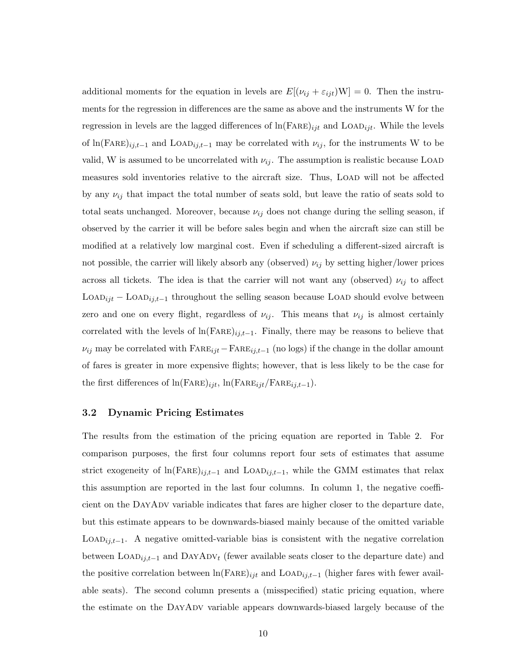additional moments for the equation in levels are  $E[(v_{ij} + \varepsilon_{ijt})W] = 0$ . Then the instruments for the regression in differences are the same as above and the instruments W for the regression in levels are the lagged differences of  $\ln(\text{FARE})_{ijt}$  and LOAD<sub>ijt</sub>. While the levels of ln(FARE)<sub>ij,t−1</sub> and LOAD<sub>ij,t−1</sub> may be correlated with  $\nu_{ij}$ , for the instruments W to be valid, W is assumed to be uncorrelated with  $\nu_{ij}$ . The assumption is realistic because LOAD measures sold inventories relative to the aircraft size. Thus, Load will not be affected by any  $\nu_{ij}$  that impact the total number of seats sold, but leave the ratio of seats sold to total seats unchanged. Moreover, because  $\nu_{ij}$  does not change during the selling season, if observed by the carrier it will be before sales begin and when the aircraft size can still be modified at a relatively low marginal cost. Even if scheduling a different-sized aircraft is not possible, the carrier will likely absorb any (observed)  $\nu_{ij}$  by setting higher/lower prices across all tickets. The idea is that the carrier will not want any (observed)  $\nu_{ij}$  to affect  $\text{LOAD}_{ijt} - \text{LOAD}_{ij,t-1}$  throughout the selling season because LOAD should evolve between zero and one on every flight, regardless of  $\nu_{ij}$ . This means that  $\nu_{ij}$  is almost certainly correlated with the levels of  $ln(FARE)_{ij,t-1}$ . Finally, there may be reasons to believe that  $\nu_{ij}$  may be correlated with  $\text{FARE}_{ijt}-\text{FARE}_{ij,t-1}$  (no logs) if the change in the dollar amount of fares is greater in more expensive flights; however, that is less likely to be the case for the first differences of ln(FARE)<sub>ijt</sub>, ln(FARE<sub>ijt</sub>/FARE<sub>ij,t−1</sub>).

#### 3.2 Dynamic Pricing Estimates

The results from the estimation of the pricing equation are reported in Table 2. For comparison purposes, the first four columns report four sets of estimates that assume strict exogeneity of  $ln(FARE)_{ij,t-1}$  and LOAD<sub>ij,t−1</sub>, while the GMM estimates that relax this assumption are reported in the last four columns. In column 1, the negative coefficient on the DayAdv variable indicates that fares are higher closer to the departure date, but this estimate appears to be downwards-biased mainly because of the omitted variable LOAD<sub>ij,t−1</sub>. A negative omitted-variable bias is consistent with the negative correlation between LOAD<sub>ij,t−1</sub> and DAYADV<sub>t</sub> (fewer available seats closer to the departure date) and the positive correlation between  $\ln(\text{FARE})_{ijt}$  and LOAD<sub>ij,t−1</sub> (higher fares with fewer available seats). The second column presents a (misspecified) static pricing equation, where the estimate on the DayAdv variable appears downwards-biased largely because of the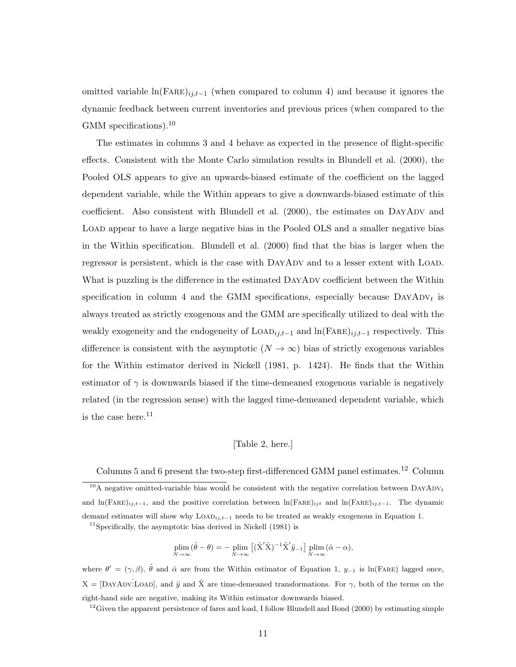omitted variable ln(FARE) $_{ij,t-1}$  (when compared to column 4) and because it ignores the dynamic feedback between current inventories and previous prices (when compared to the GMM specifications).<sup>10</sup>

The estimates in columns 3 and 4 behave as expected in the presence of flight-specific effects. Consistent with the Monte Carlo simulation results in Blundell et al. (2000), the Pooled OLS appears to give an upwards-biased estimate of the coefficient on the lagged dependent variable, while the Within appears to give a downwards-biased estimate of this coefficient. Also consistent with Blundell et al. (2000), the estimates on DayAdv and LOAD appear to have a large negative bias in the Pooled OLS and a smaller negative bias in the Within specification. Blundell et al. (2000) find that the bias is larger when the regressor is persistent, which is the case with DayAdv and to a lesser extent with Load. What is puzzling is the difference in the estimated DAYADV coefficient between the Within specification in column 4 and the GMM specifications, especially because  $DAYADV_t$  is always treated as strictly exogenous and the GMM are specifically utilized to deal with the weakly exogeneity and the endogeneity of  $\text{LOAD}_{ij,t-1}$  and ln(FARE)<sub>ij,t−1</sub> respectively. This difference is consistent with the asymptotic  $(N \to \infty)$  bias of strictly exogenous variables for the Within estimator derived in Nickell (1981, p. 1424). He finds that the Within estimator of  $\gamma$  is downwards biased if the time-demeaned exogenous variable is negatively related (in the regression sense) with the lagged time-demeaned dependent variable, which is the case here. $11$ 

### [Table 2, here.]

Columns 5 and 6 present the two-step first-differenced GMM panel estimates.<sup>12</sup> Column

 $11$ Specifically, the asymptotic bias derived in Nickell (1981) is

$$
\plim_{N \to \infty} (\hat{\theta} - \theta) = - \plim_{N \to \infty} [(\ddot{X}'\ddot{X})^{-1}\ddot{X}'\ddot{y}_{-1}] \plim_{N \to \infty} (\hat{\alpha} - \alpha),
$$

where  $\theta' = (\gamma, \beta), \hat{\theta}$  and  $\hat{\alpha}$  are from the Within estimator of Equation 1, y-1 is ln(FARE) lagged once,  $X = [DAYADV: LoAD]$ , and  $\ddot{y}$  and  $\ddot{X}$  are time-demeaned transformations. For  $\gamma$ , both of the terms on the right-hand side are negative, making its Within estimator downwards biased.

<sup>12</sup>Given the apparent persistence of fares and load, I follow Blundell and Bond (2000) by estimating simple

<sup>&</sup>lt;sup>10</sup>A negative omitted-variable bias would be consistent with the negative correlation between DAYADV<sub>t</sub> and ln(FARE)<sub>ij,t−1</sub>, and the positive correlation between ln(FARE)<sub>ijt</sub> and ln(FARE)<sub>ij,t−1</sub>. The dynamic demand estimates will show why  $\text{LOAD}_{i,i,t-1}$  needs to be treated as weakly exogenous in Equation 1.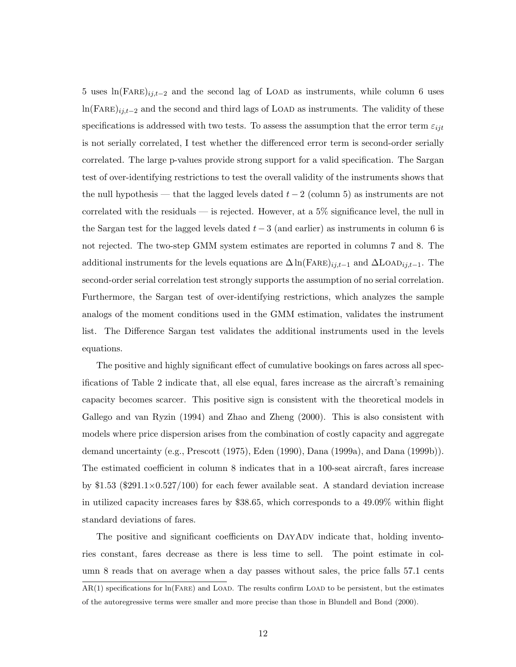5 uses ln(FARE) $_{ij,t-2}$  and the second lag of LOAD as instruments, while column 6 uses  $ln(FARE)_{ij,t-2}$  and the second and third lags of LOAD as instruments. The validity of these specifications is addressed with two tests. To assess the assumption that the error term  $\varepsilon_{ijt}$ is not serially correlated, I test whether the differenced error term is second-order serially correlated. The large p-values provide strong support for a valid specification. The Sargan test of over-identifying restrictions to test the overall validity of the instruments shows that the null hypothesis — that the lagged levels dated  $t-2$  (column 5) as instruments are not correlated with the residuals — is rejected. However, at a  $5\%$  significance level, the null in the Sargan test for the lagged levels dated  $t-3$  (and earlier) as instruments in column 6 is not rejected. The two-step GMM system estimates are reported in columns 7 and 8. The additional instruments for the levels equations are  $\Delta \ln(\text{FARE})_{ij,t-1}$  and  $\Delta \text{LOAD}_{ij,t-1}$ . The second-order serial correlation test strongly supports the assumption of no serial correlation. Furthermore, the Sargan test of over-identifying restrictions, which analyzes the sample analogs of the moment conditions used in the GMM estimation, validates the instrument list. The Difference Sargan test validates the additional instruments used in the levels equations.

The positive and highly significant effect of cumulative bookings on fares across all specifications of Table 2 indicate that, all else equal, fares increase as the aircraft's remaining capacity becomes scarcer. This positive sign is consistent with the theoretical models in Gallego and van Ryzin (1994) and Zhao and Zheng (2000). This is also consistent with models where price dispersion arises from the combination of costly capacity and aggregate demand uncertainty (e.g., Prescott (1975), Eden (1990), Dana (1999a), and Dana (1999b)). The estimated coefficient in column 8 indicates that in a 100-seat aircraft, fares increase by  $$1.53$  ( $$291.1\times0.527/100$ ) for each fewer available seat. A standard deviation increase in utilized capacity increases fares by \$38.65, which corresponds to a 49.09% within flight standard deviations of fares.

The positive and significant coefficients on DayAdv indicate that, holding inventories constant, fares decrease as there is less time to sell. The point estimate in column 8 reads that on average when a day passes without sales, the price falls 57.1 cents AR(1) specifications for ln(FARE) and LOAD. The results confirm LOAD to be persistent, but the estimates of the autoregressive terms were smaller and more precise than those in Blundell and Bond (2000).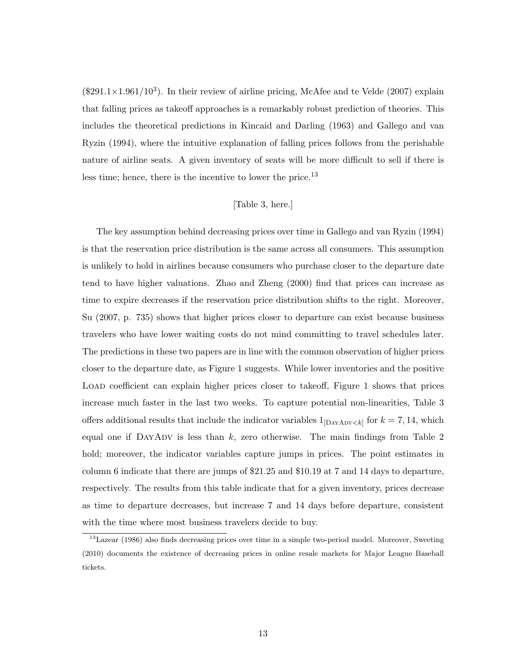$(\$291.1\times1.961/10^{3})$ . In their review of airline pricing, McAfee and te Velde (2007) explain that falling prices as takeoff approaches is a remarkably robust prediction of theories. This includes the theoretical predictions in Kincaid and Darling (1963) and Gallego and van Ryzin (1994), where the intuitive explanation of falling prices follows from the perishable nature of airline seats. A given inventory of seats will be more difficult to sell if there is less time; hence, there is the incentive to lower the price.<sup>13</sup>

## [Table 3, here.]

The key assumption behind decreasing prices over time in Gallego and van Ryzin (1994) is that the reservation price distribution is the same across all consumers. This assumption is unlikely to hold in airlines because consumers who purchase closer to the departure date tend to have higher valuations. Zhao and Zheng (2000) find that prices can increase as time to expire decreases if the reservation price distribution shifts to the right. Moreover, Su (2007, p. 735) shows that higher prices closer to departure can exist because business travelers who have lower waiting costs do not mind committing to travel schedules later. The predictions in these two papers are in line with the common observation of higher prices closer to the departure date, as Figure 1 suggests. While lower inventories and the positive LOAD coefficient can explain higher prices closer to takeoff, Figure 1 shows that prices increase much faster in the last two weeks. To capture potential non-linearities, Table 3 offers additional results that include the indicator variables  $1_{\text{[DAYADV < k]}}$  for  $k = 7, 14$ , which equal one if DAYADV is less than  $k$ , zero otherwise. The main findings from Table 2 hold; moreover, the indicator variables capture jumps in prices. The point estimates in column 6 indicate that there are jumps of \$21.25 and \$10.19 at 7 and 14 days to departure, respectively. The results from this table indicate that for a given inventory, prices decrease as time to departure decreases, but increase 7 and 14 days before departure, consistent with the time where most business travelers decide to buy.

<sup>&</sup>lt;sup>13</sup>Lazear (1986) also finds decreasing prices over time in a simple two-period model. Moreover, Sweeting (2010) documents the existence of decreasing prices in online resale markets for Major League Baseball tickets.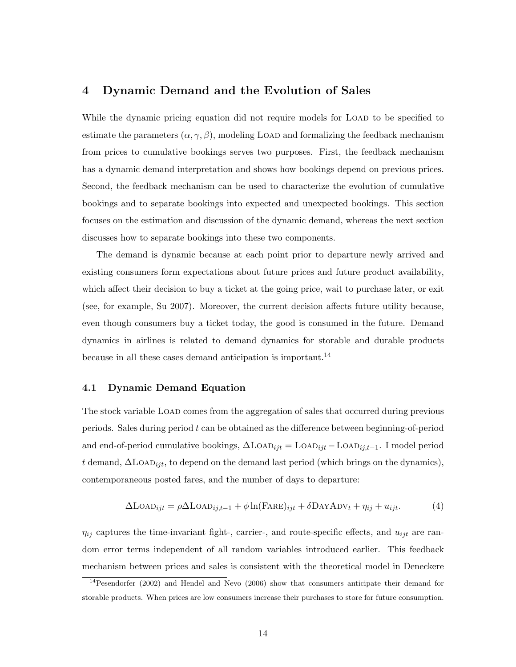## 4 Dynamic Demand and the Evolution of Sales

While the dynamic pricing equation did not require models for LOAD to be specified to estimate the parameters  $(\alpha, \gamma, \beta)$ , modeling LOAD and formalizing the feedback mechanism from prices to cumulative bookings serves two purposes. First, the feedback mechanism has a dynamic demand interpretation and shows how bookings depend on previous prices. Second, the feedback mechanism can be used to characterize the evolution of cumulative bookings and to separate bookings into expected and unexpected bookings. This section focuses on the estimation and discussion of the dynamic demand, whereas the next section discusses how to separate bookings into these two components.

The demand is dynamic because at each point prior to departure newly arrived and existing consumers form expectations about future prices and future product availability, which affect their decision to buy a ticket at the going price, wait to purchase later, or exit (see, for example, Su 2007). Moreover, the current decision affects future utility because, even though consumers buy a ticket today, the good is consumed in the future. Demand dynamics in airlines is related to demand dynamics for storable and durable products because in all these cases demand anticipation is important.<sup>14</sup>

#### 4.1 Dynamic Demand Equation

The stock variable Load comes from the aggregation of sales that occurred during previous periods. Sales during period  $t$  can be obtained as the difference between beginning-of-period and end-of-period cumulative bookings,  $\Delta$ LOAD<sub>ijt</sub> = LOAD<sub>ijt</sub> − LOAD<sub>ijt</sub>-1. I model period t demand,  $\Delta$ LOAD<sub>ijt</sub>, to depend on the demand last period (which brings on the dynamics), contemporaneous posted fares, and the number of days to departure:

$$
\Delta \text{LOAD}_{ijt} = \rho \Delta \text{LOAD}_{ij,t-1} + \phi \ln(\text{FARE})_{ijt} + \delta \text{DAYADV}_t + \eta_{ij} + u_{ijt}.\tag{4}
$$

 $\eta_{ij}$  captures the time-invariant fight-, carrier-, and route-specific effects, and  $u_{ijt}$  are random error terms independent of all random variables introduced earlier. This feedback mechanism between prices and sales is consistent with the theoretical model in Deneckere

 $14$ Pesendorfer (2002) and Hendel and Nevo (2006) show that consumers anticipate their demand for storable products. When prices are low consumers increase their purchases to store for future consumption.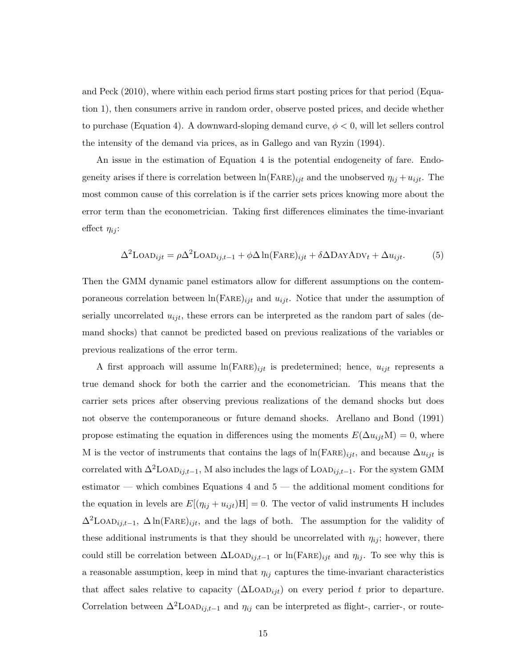and Peck (2010), where within each period firms start posting prices for that period (Equation 1), then consumers arrive in random order, observe posted prices, and decide whether to purchase (Equation 4). A downward-sloping demand curve,  $\phi < 0$ , will let sellers control the intensity of the demand via prices, as in Gallego and van Ryzin (1994).

An issue in the estimation of Equation 4 is the potential endogeneity of fare. Endogeneity arises if there is correlation between  $\ln(\text{FARE})_{ijt}$  and the unobserved  $\eta_{ij} + u_{ijt}$ . The most common cause of this correlation is if the carrier sets prices knowing more about the error term than the econometrician. Taking first differences eliminates the time-invariant effect  $\eta_{ij}$ :

$$
\Delta^2 \text{LOAD}_{ijt} = \rho \Delta^2 \text{LOAD}_{ij,t-1} + \phi \Delta \ln(\text{FARE})_{ijt} + \delta \Delta \text{DAYADV}_t + \Delta u_{ijt}.\tag{5}
$$

Then the GMM dynamic panel estimators allow for different assumptions on the contemporaneous correlation between  $\ln(\text{FARE})_{ijt}$  and  $u_{ijt}$ . Notice that under the assumption of serially uncorrelated  $u_{ijt}$ , these errors can be interpreted as the random part of sales (demand shocks) that cannot be predicted based on previous realizations of the variables or previous realizations of the error term.

A first approach will assume  $\ln(\text{FARE})_{ijt}$  is predetermined; hence,  $u_{ijt}$  represents a true demand shock for both the carrier and the econometrician. This means that the carrier sets prices after observing previous realizations of the demand shocks but does not observe the contemporaneous or future demand shocks. Arellano and Bond (1991) propose estimating the equation in differences using the moments  $E(\Delta u_{ijt}M) = 0$ , where M is the vector of instruments that contains the lags of  $\ln(\text{FARE})_{ijt}$ , and because  $\Delta u_{ijt}$  is correlated with  $\Delta^2$ LOAD<sub>ij,t−1</sub>, M also includes the lags of LOAD<sub>ij,t−1</sub>. For the system GMM estimator — which combines Equations 4 and 5 — the additional moment conditions for the equation in levels are  $E[(\eta_{ij} + u_{ijt})H] = 0$ . The vector of valid instruments H includes  $\Delta^2$ LOAD<sub>ij,t−1</sub>,  $\Delta \ln(\text{FARE})_{ijt}$ , and the lags of both. The assumption for the validity of these additional instruments is that they should be uncorrelated with  $\eta_{ij}$ ; however, there could still be correlation between  $\Delta$ LOAD<sub>ij,t−1</sub> or ln(FARE)<sub>ijt</sub> and  $\eta_{ij}$ . To see why this is a reasonable assumption, keep in mind that  $\eta_{ij}$  captures the time-invariant characteristics that affect sales relative to capacity ( $\Delta$ LOAD<sub>ijt</sub>) on every period t prior to departure. Correlation between  $\Delta^2$ LOAD<sub>ij,t−1</sub> and  $\eta_{ij}$  can be interpreted as flight-, carrier-, or route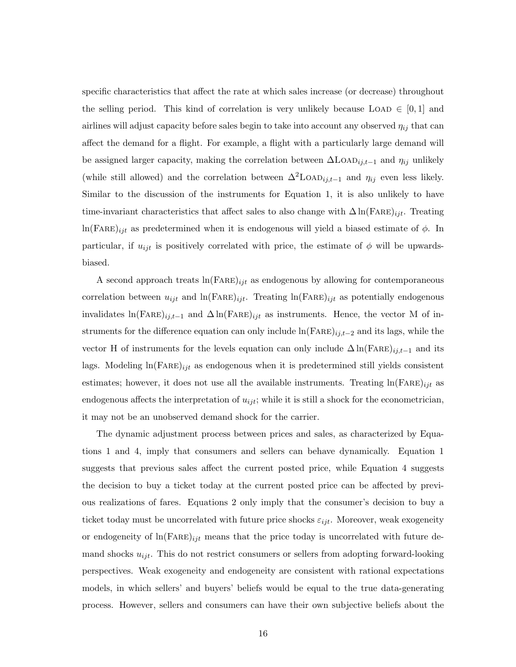specific characteristics that affect the rate at which sales increase (or decrease) throughout the selling period. This kind of correlation is very unlikely because LOAD  $\in [0,1]$  and airlines will adjust capacity before sales begin to take into account any observed  $\eta_{ij}$  that can affect the demand for a flight. For example, a flight with a particularly large demand will be assigned larger capacity, making the correlation between  $\Delta$ LOAD<sub>ij,t−1</sub> and  $\eta_{ij}$  unlikely (while still allowed) and the correlation between  $\Delta^2$ LOAD<sub>ij,t−1</sub> and  $\eta_{ij}$  even less likely. Similar to the discussion of the instruments for Equation 1, it is also unlikely to have time-invariant characteristics that affect sales to also change with  $\Delta \ln(\text{FARE})_{ijt}$ . Treating  $ln(FARE)_{ijt}$  as predetermined when it is endogenous will yield a biased estimate of  $\phi$ . In particular, if  $u_{ijt}$  is positively correlated with price, the estimate of  $\phi$  will be upwardsbiased.

A second approach treats  $\ln(\text{FARE})_{ijt}$  as endogenous by allowing for contemporaneous correlation between  $u_{ijt}$  and  $\ln(\text{FARE})_{ijt}$ . Treating  $\ln(\text{FARE})_{ijt}$  as potentially endogenous invalidates ln(FARE)<sub>ij,t−1</sub> and  $\Delta$  ln(FARE)<sub>ijt</sub> as instruments. Hence, the vector M of instruments for the difference equation can only include  $ln(FARE)_{ij,t-2}$  and its lags, while the vector H of instruments for the levels equation can only include  $\Delta \ln(\text{FARE})_{ij,t-1}$  and its lags. Modeling  $ln(FARE)_{ijt}$  as endogenous when it is predetermined still yields consistent estimates; however, it does not use all the available instruments. Treating  $\ln(\text{FARE})_{ijt}$  as endogenous affects the interpretation of  $u_{ijt}$ ; while it is still a shock for the econometrician, it may not be an unobserved demand shock for the carrier.

The dynamic adjustment process between prices and sales, as characterized by Equations 1 and 4, imply that consumers and sellers can behave dynamically. Equation 1 suggests that previous sales affect the current posted price, while Equation 4 suggests the decision to buy a ticket today at the current posted price can be affected by previous realizations of fares. Equations 2 only imply that the consumer's decision to buy a ticket today must be uncorrelated with future price shocks  $\varepsilon_{ijt}$ . Moreover, weak exogeneity or endogeneity of  $\ln(\text{FARE})_{ijt}$  means that the price today is uncorrelated with future demand shocks  $u_{ijt}$ . This do not restrict consumers or sellers from adopting forward-looking perspectives. Weak exogeneity and endogeneity are consistent with rational expectations models, in which sellers' and buyers' beliefs would be equal to the true data-generating process. However, sellers and consumers can have their own subjective beliefs about the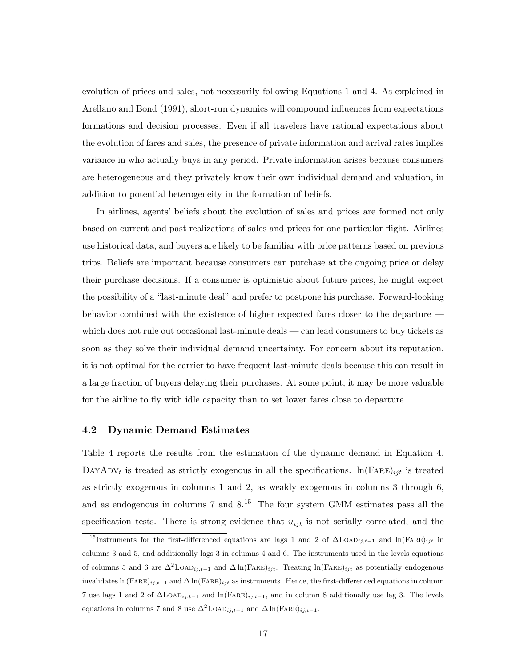evolution of prices and sales, not necessarily following Equations 1 and 4. As explained in Arellano and Bond (1991), short-run dynamics will compound influences from expectations formations and decision processes. Even if all travelers have rational expectations about the evolution of fares and sales, the presence of private information and arrival rates implies variance in who actually buys in any period. Private information arises because consumers are heterogeneous and they privately know their own individual demand and valuation, in addition to potential heterogeneity in the formation of beliefs.

In airlines, agents' beliefs about the evolution of sales and prices are formed not only based on current and past realizations of sales and prices for one particular flight. Airlines use historical data, and buyers are likely to be familiar with price patterns based on previous trips. Beliefs are important because consumers can purchase at the ongoing price or delay their purchase decisions. If a consumer is optimistic about future prices, he might expect the possibility of a "last-minute deal" and prefer to postpone his purchase. Forward-looking behavior combined with the existence of higher expected fares closer to the departure which does not rule out occasional last-minute deals — can lead consumers to buy tickets as soon as they solve their individual demand uncertainty. For concern about its reputation, it is not optimal for the carrier to have frequent last-minute deals because this can result in a large fraction of buyers delaying their purchases. At some point, it may be more valuable for the airline to fly with idle capacity than to set lower fares close to departure.

#### 4.2 Dynamic Demand Estimates

Table 4 reports the results from the estimation of the dynamic demand in Equation 4. DAYADV<sub>t</sub> is treated as strictly exogenous in all the specifications.  $\ln(\text{FARE})_{ijt}$  is treated as strictly exogenous in columns 1 and 2, as weakly exogenous in columns 3 through 6, and as endogenous in columns 7 and 8.<sup>15</sup> The four system GMM estimates pass all the specification tests. There is strong evidence that  $u_{ijt}$  is not serially correlated, and the

<sup>&</sup>lt;sup>15</sup>Instruments for the first-differenced equations are lags 1 and 2 of  $\Delta$ LOAD<sub>ij,t−1</sub> and ln(FARE)<sub>ijt</sub> in columns 3 and 5, and additionally lags 3 in columns 4 and 6. The instruments used in the levels equations of columns 5 and 6 are  $\Delta^2$ LOAD<sub>ij,t−1</sub> and  $\Delta \ln(\text{FARE})_{ijt}$ . Treating ln(FARE)<sub>ijt</sub> as potentially endogenous invalidates ln(FARE)<sub>ij,t−1</sub> and  $\Delta$  ln(FARE)<sub>ijt</sub> as instruments. Hence, the first-differenced equations in column 7 use lags 1 and 2 of  $\Delta$ LOAD<sub>ij,t−1</sub> and ln(FARE)<sub>ij,t−1</sub>, and in column 8 additionally use lag 3. The levels equations in columns 7 and 8 use  $\Delta^2$ LOAD<sub>ij,t−1</sub> and  $\Delta$  ln(FARE)<sub>ij,t−1</sub>.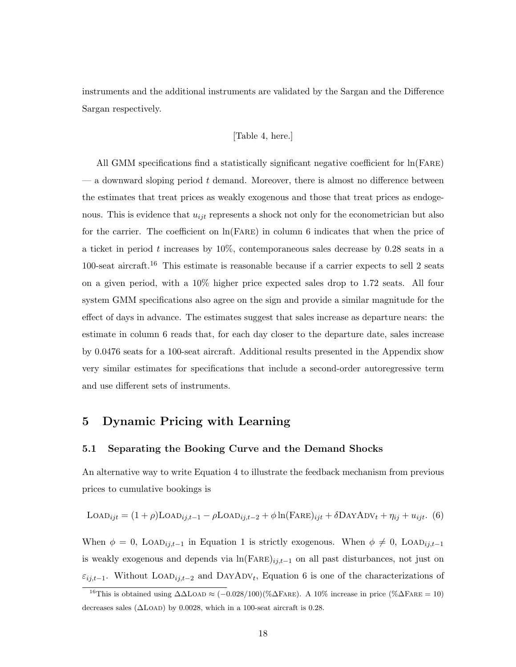instruments and the additional instruments are validated by the Sargan and the Difference Sargan respectively.

#### [Table 4, here.]

All GMM specifications find a statistically significant negative coefficient for ln(Fare)  $-$  a downward sloping period t demand. Moreover, there is almost no difference between the estimates that treat prices as weakly exogenous and those that treat prices as endogenous. This is evidence that  $u_{ijt}$  represents a shock not only for the econometrician but also for the carrier. The coefficient on ln(Fare) in column 6 indicates that when the price of a ticket in period t increases by  $10\%$ , contemporaneous sales decrease by 0.28 seats in a 100-seat aircraft.<sup>16</sup> This estimate is reasonable because if a carrier expects to sell 2 seats on a given period, with a 10% higher price expected sales drop to 1.72 seats. All four system GMM specifications also agree on the sign and provide a similar magnitude for the effect of days in advance. The estimates suggest that sales increase as departure nears: the estimate in column 6 reads that, for each day closer to the departure date, sales increase by 0.0476 seats for a 100-seat aircraft. Additional results presented in the Appendix show very similar estimates for specifications that include a second-order autoregressive term and use different sets of instruments.

## 5 Dynamic Pricing with Learning

#### 5.1 Separating the Booking Curve and the Demand Shocks

An alternative way to write Equation 4 to illustrate the feedback mechanism from previous prices to cumulative bookings is

$$
LOADijt = (1 + \rho)LOADij,t-1 - \rho LOADij,t-2 + \phi \ln(FARE)ijt + \delta DAYADVt + \eta_{ij} + u_{ijt}.
$$
 (6)

When  $\phi = 0$ , LOAD<sub>ij,t−1</sub> in Equation 1 is strictly exogenous. When  $\phi \neq 0$ , LOAD<sub>ij,t−1</sub> is weakly exogenous and depends via  $ln(FARE)_{ij,t-1}$  on all past disturbances, not just on  $\varepsilon_{ij,t-1}$ . Without LOAD<sub>ij,t−2</sub> and DAYADV<sub>t</sub>, Equation 6 is one of the characterizations of

<sup>&</sup>lt;sup>16</sup>This is obtained using  $\Delta\Delta$ LOAD ≈ (−0.028/100)(% $\Delta$ FARE). A 10% increase in price (% $\Delta$ FARE = 10) decreases sales ( $\Delta$ LOAD) by 0.0028, which in a 100-seat aircraft is 0.28.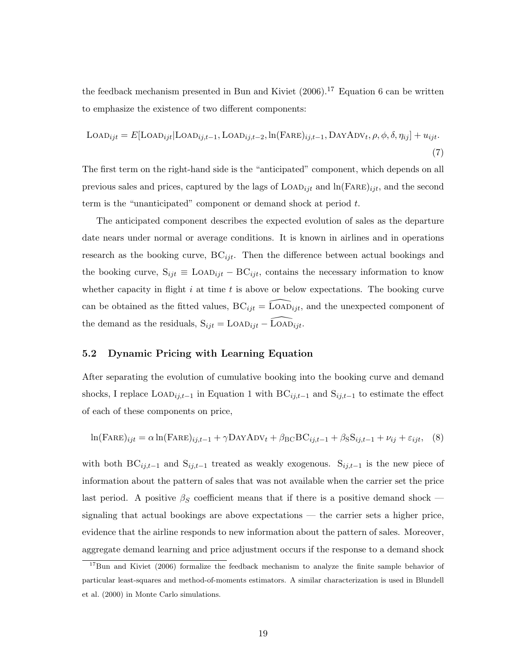the feedback mechanism presented in Bun and Kiviet  $(2006).$ <sup>17</sup> Equation 6 can be written to emphasize the existence of two different components:

$$
LOADijt = E[LOADijt|LOADij,t-1, LOADij,t-2, ln(FARE)ij,t-1, DAYADVt, \rho, \phi, \delta, \eta_{ij}] + u_{ijt}.
$$
\n(7)

The first term on the right-hand side is the "anticipated" component, which depends on all previous sales and prices, captured by the lags of  $\text{LOAD}_{ijt}$  and  $\text{ln}(\text{FARE})_{ijt}$ , and the second term is the "unanticipated" component or demand shock at period t.

The anticipated component describes the expected evolution of sales as the departure date nears under normal or average conditions. It is known in airlines and in operations research as the booking curve,  $BC_{ijt}$ . Then the difference between actual bookings and the booking curve,  $S_{ijt} \equiv$  LOAD<sub>ijt</sub> – BC<sub>ijt</sub>, contains the necessary information to know whether capacity in flight  $i$  at time  $t$  is above or below expectations. The booking curve can be obtained as the fitted values,  $BC_{ijt} = \widehat{L} \widehat{OAD}_{ijt}$ , and the unexpected component of the demand as the residuals,  $S_{ijt} =$  LOAD<sub>ijt</sub> – LOAD<sub>ijt</sub>.

#### 5.2 Dynamic Pricing with Learning Equation

After separating the evolution of cumulative booking into the booking curve and demand shocks, I replace LOAD<sub>ij,t−1</sub> in Equation 1 with BC<sub>ij,t−1</sub> and S<sub>ij,t−1</sub> to estimate the effect of each of these components on price,

$$
\ln(\text{FARE})_{ijt} = \alpha \ln(\text{FARE})_{ij,t-1} + \gamma \text{DAYADV}_t + \beta_{\text{BC}} \text{BC}_{ij,t-1} + \beta_{\text{S}} \text{S}_{ij,t-1} + \nu_{ij} + \varepsilon_{ijt}, \quad (8)
$$

with both BC<sub>ij,t−1</sub> and S<sub>ij,t−1</sub> treated as weakly exogenous. S<sub>ij,t−1</sub> is the new piece of information about the pattern of sales that was not available when the carrier set the price last period. A positive  $\beta_S$  coefficient means that if there is a positive demand shock signaling that actual bookings are above expectations — the carrier sets a higher price, evidence that the airline responds to new information about the pattern of sales. Moreover, aggregate demand learning and price adjustment occurs if the response to a demand shock

 $17$ Bun and Kiviet (2006) formalize the feedback mechanism to analyze the finite sample behavior of particular least-squares and method-of-moments estimators. A similar characterization is used in Blundell et al. (2000) in Monte Carlo simulations.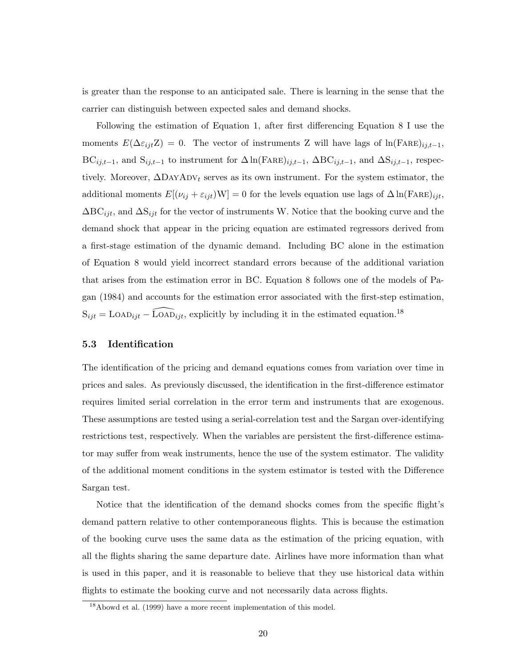is greater than the response to an anticipated sale. There is learning in the sense that the carrier can distinguish between expected sales and demand shocks.

Following the estimation of Equation 1, after first differencing Equation 8 I use the moments  $E(\Delta \varepsilon_{ijt} Z) = 0$ . The vector of instruments Z will have lags of ln(FARE)<sub>ij,t-1</sub>,  $BC_{ij,t-1}$ , and  $S_{ij,t-1}$  to instrument for  $\Delta \ln(\text{FARE})_{ij,t-1}$ ,  $\Delta BC_{ij,t-1}$ , and  $\Delta S_{ij,t-1}$ , respectively. Moreover,  $\Delta$ DAYADV<sub>t</sub> serves as its own instrument. For the system estimator, the additional moments  $E[(v_{ij} + \varepsilon_{ijt})W] = 0$  for the levels equation use lags of  $\Delta \ln(\text{FARE})_{ijt}$ ,  $\Delta BC_{ijt}$ , and  $\Delta S_{ijt}$  for the vector of instruments W. Notice that the booking curve and the demand shock that appear in the pricing equation are estimated regressors derived from a first-stage estimation of the dynamic demand. Including BC alone in the estimation of Equation 8 would yield incorrect standard errors because of the additional variation that arises from the estimation error in BC. Equation 8 follows one of the models of Pagan (1984) and accounts for the estimation error associated with the first-step estimation,  $S_{ijt} =$  LOAD<sub>ijt</sub> – LOAD<sub>ijt</sub>, explicitly by including it in the estimated equation.<sup>18</sup>

#### 5.3 Identification

The identification of the pricing and demand equations comes from variation over time in prices and sales. As previously discussed, the identification in the first-difference estimator requires limited serial correlation in the error term and instruments that are exogenous. These assumptions are tested using a serial-correlation test and the Sargan over-identifying restrictions test, respectively. When the variables are persistent the first-difference estimator may suffer from weak instruments, hence the use of the system estimator. The validity of the additional moment conditions in the system estimator is tested with the Difference Sargan test.

Notice that the identification of the demand shocks comes from the specific flight's demand pattern relative to other contemporaneous flights. This is because the estimation of the booking curve uses the same data as the estimation of the pricing equation, with all the flights sharing the same departure date. Airlines have more information than what is used in this paper, and it is reasonable to believe that they use historical data within flights to estimate the booking curve and not necessarily data across flights.

<sup>&</sup>lt;sup>18</sup>Abowd et al. (1999) have a more recent implementation of this model.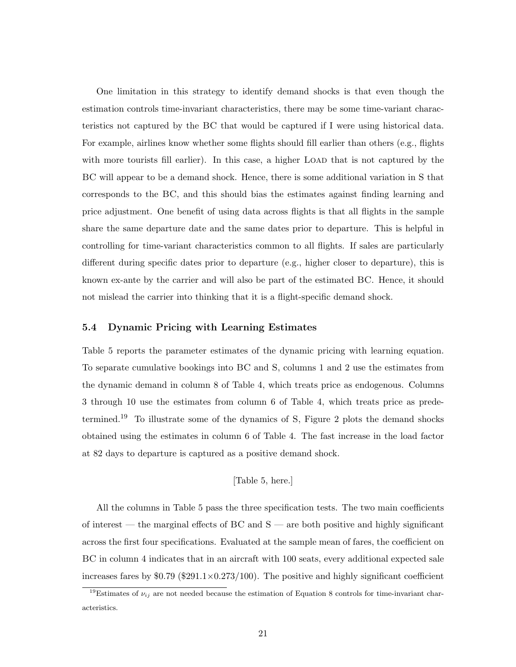One limitation in this strategy to identify demand shocks is that even though the estimation controls time-invariant characteristics, there may be some time-variant characteristics not captured by the BC that would be captured if I were using historical data. For example, airlines know whether some flights should fill earlier than others (e.g., flights with more tourists fill earlier). In this case, a higher LOAD that is not captured by the BC will appear to be a demand shock. Hence, there is some additional variation in S that corresponds to the BC, and this should bias the estimates against finding learning and price adjustment. One benefit of using data across flights is that all flights in the sample share the same departure date and the same dates prior to departure. This is helpful in controlling for time-variant characteristics common to all flights. If sales are particularly different during specific dates prior to departure (e.g., higher closer to departure), this is known ex-ante by the carrier and will also be part of the estimated BC. Hence, it should not mislead the carrier into thinking that it is a flight-specific demand shock.

#### 5.4 Dynamic Pricing with Learning Estimates

Table 5 reports the parameter estimates of the dynamic pricing with learning equation. To separate cumulative bookings into BC and S, columns 1 and 2 use the estimates from the dynamic demand in column 8 of Table 4, which treats price as endogenous. Columns 3 through 10 use the estimates from column 6 of Table 4, which treats price as predetermined.<sup>19</sup> To illustrate some of the dynamics of S, Figure 2 plots the demand shocks obtained using the estimates in column 6 of Table 4. The fast increase in the load factor at 82 days to departure is captured as a positive demand shock.

#### [Table 5, here.]

All the columns in Table 5 pass the three specification tests. The two main coefficients of interest — the marginal effects of BC and  $S$  — are both positive and highly significant across the first four specifications. Evaluated at the sample mean of fares, the coefficient on BC in column 4 indicates that in an aircraft with 100 seats, every additional expected sale increases fares by \$0.79 (\$291.1 $\times$ 0.273/100). The positive and highly significant coefficient

<sup>&</sup>lt;sup>19</sup>Estimates of  $\nu_{ij}$  are not needed because the estimation of Equation 8 controls for time-invariant characteristics.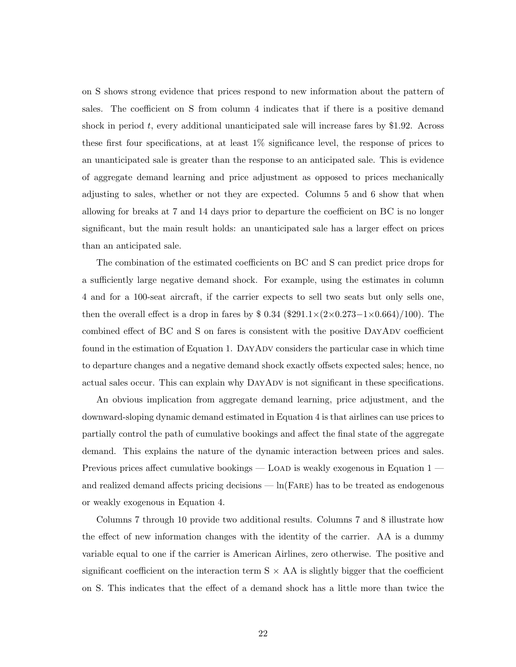on S shows strong evidence that prices respond to new information about the pattern of sales. The coefficient on S from column 4 indicates that if there is a positive demand shock in period t, every additional unanticipated sale will increase fares by \$1.92. Across these first four specifications, at at least  $1\%$  significance level, the response of prices to an unanticipated sale is greater than the response to an anticipated sale. This is evidence of aggregate demand learning and price adjustment as opposed to prices mechanically adjusting to sales, whether or not they are expected. Columns 5 and 6 show that when allowing for breaks at 7 and 14 days prior to departure the coefficient on BC is no longer significant, but the main result holds: an unanticipated sale has a larger effect on prices than an anticipated sale.

The combination of the estimated coefficients on BC and S can predict price drops for a sufficiently large negative demand shock. For example, using the estimates in column 4 and for a 100-seat aircraft, if the carrier expects to sell two seats but only sells one, then the overall effect is a drop in fares by \$ 0.34 (\$291.1× $(2 \times 0.273-1 \times 0.664)/100$ ). The combined effect of BC and S on fares is consistent with the positive DayAdv coefficient found in the estimation of Equation 1. DayAdv considers the particular case in which time to departure changes and a negative demand shock exactly offsets expected sales; hence, no actual sales occur. This can explain why DayAdv is not significant in these specifications.

An obvious implication from aggregate demand learning, price adjustment, and the downward-sloping dynamic demand estimated in Equation 4 is that airlines can use prices to partially control the path of cumulative bookings and affect the final state of the aggregate demand. This explains the nature of the dynamic interaction between prices and sales. Previous prices affect cumulative bookings — LOAD is weakly exogenous in Equation 1 and realized demand affects pricing decisions  $-$  ln(FARE) has to be treated as endogenous or weakly exogenous in Equation 4.

Columns 7 through 10 provide two additional results. Columns 7 and 8 illustrate how the effect of new information changes with the identity of the carrier. AA is a dummy variable equal to one if the carrier is American Airlines, zero otherwise. The positive and significant coefficient on the interaction term  $S \times AA$  is slightly bigger that the coefficient on S. This indicates that the effect of a demand shock has a little more than twice the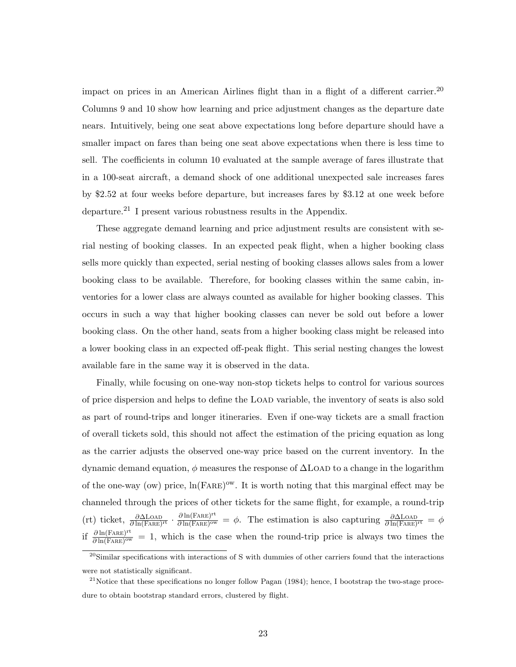impact on prices in an American Airlines flight than in a flight of a different carrier.<sup>20</sup> Columns 9 and 10 show how learning and price adjustment changes as the departure date nears. Intuitively, being one seat above expectations long before departure should have a smaller impact on fares than being one seat above expectations when there is less time to sell. The coefficients in column 10 evaluated at the sample average of fares illustrate that in a 100-seat aircraft, a demand shock of one additional unexpected sale increases fares by \$2.52 at four weeks before departure, but increases fares by \$3.12 at one week before departure.<sup>21</sup> I present various robustness results in the Appendix.

These aggregate demand learning and price adjustment results are consistent with serial nesting of booking classes. In an expected peak flight, when a higher booking class sells more quickly than expected, serial nesting of booking classes allows sales from a lower booking class to be available. Therefore, for booking classes within the same cabin, inventories for a lower class are always counted as available for higher booking classes. This occurs in such a way that higher booking classes can never be sold out before a lower booking class. On the other hand, seats from a higher booking class might be released into a lower booking class in an expected off-peak flight. This serial nesting changes the lowest available fare in the same way it is observed in the data.

Finally, while focusing on one-way non-stop tickets helps to control for various sources of price dispersion and helps to define the Load variable, the inventory of seats is also sold as part of round-trips and longer itineraries. Even if one-way tickets are a small fraction of overall tickets sold, this should not affect the estimation of the pricing equation as long as the carrier adjusts the observed one-way price based on the current inventory. In the dynamic demand equation,  $\phi$  measures the response of  $\Delta$ LOAD to a change in the logarithm of the one-way (ow) price,  $\ln(\text{FARE})^{\text{ow}}$ . It is worth noting that this marginal effect may be channeled through the prices of other tickets for the same flight, for example, a round-trip (rt) ticket,  $\frac{\partial \Delta \text{LOAD}}{\partial \ln(\text{FARE})^{\text{rt}}} \cdot \frac{\partial \ln(\text{FARE})^{\text{rt}}}{\partial \ln(\text{FARE})^{\text{ow}}}$  $\frac{\partial \ln(F_{ARE})^{r_k}}{\partial \ln(F_{ARE})^{r_k}} = \phi$ . The estimation is also capturing  $\frac{\partial \Delta \text{LOAD}}{\partial \ln(F_{ARE})^{r_k}} = \phi$ if  $\frac{\partial \ln(\mathrm{FARE})^{\mathrm{rt}}}{\partial \ln(\mathrm{FARE})^{\mathrm{ow}}}$  $\frac{\partial \ln(\text{FARE})}{\partial \ln(\text{FARE})^{\text{ow}}} = 1$ , which is the case when the round-trip price is always two times the

 $^{20}$ Similar specifications with interactions of S with dummies of other carriers found that the interactions were not statistically significant.

 $21$ Notice that these specifications no longer follow Pagan (1984); hence, I bootstrap the two-stage procedure to obtain bootstrap standard errors, clustered by flight.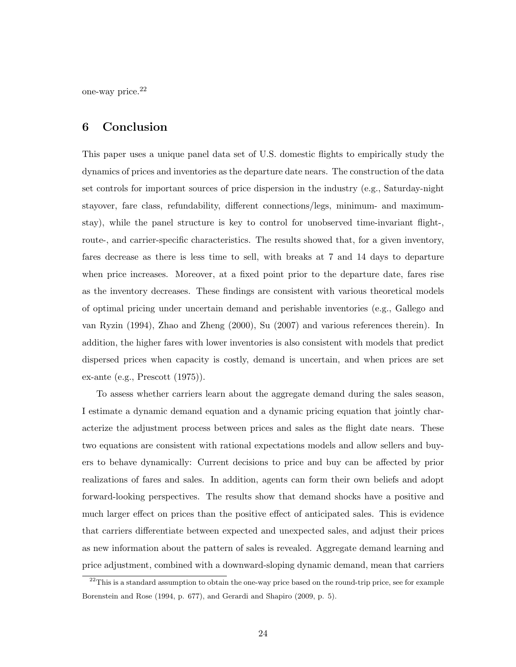one-way price.<sup>22</sup>

## 6 Conclusion

This paper uses a unique panel data set of U.S. domestic flights to empirically study the dynamics of prices and inventories as the departure date nears. The construction of the data set controls for important sources of price dispersion in the industry (e.g., Saturday-night stayover, fare class, refundability, different connections/legs, minimum- and maximumstay), while the panel structure is key to control for unobserved time-invariant flight-, route-, and carrier-specific characteristics. The results showed that, for a given inventory, fares decrease as there is less time to sell, with breaks at 7 and 14 days to departure when price increases. Moreover, at a fixed point prior to the departure date, fares rise as the inventory decreases. These findings are consistent with various theoretical models of optimal pricing under uncertain demand and perishable inventories (e.g., Gallego and van Ryzin (1994), Zhao and Zheng (2000), Su (2007) and various references therein). In addition, the higher fares with lower inventories is also consistent with models that predict dispersed prices when capacity is costly, demand is uncertain, and when prices are set ex-ante (e.g., Prescott (1975)).

To assess whether carriers learn about the aggregate demand during the sales season, I estimate a dynamic demand equation and a dynamic pricing equation that jointly characterize the adjustment process between prices and sales as the flight date nears. These two equations are consistent with rational expectations models and allow sellers and buyers to behave dynamically: Current decisions to price and buy can be affected by prior realizations of fares and sales. In addition, agents can form their own beliefs and adopt forward-looking perspectives. The results show that demand shocks have a positive and much larger effect on prices than the positive effect of anticipated sales. This is evidence that carriers differentiate between expected and unexpected sales, and adjust their prices as new information about the pattern of sales is revealed. Aggregate demand learning and price adjustment, combined with a downward-sloping dynamic demand, mean that carriers

<sup>&</sup>lt;sup>22</sup>This is a standard assumption to obtain the one-way price based on the round-trip price, see for example Borenstein and Rose (1994, p. 677), and Gerardi and Shapiro (2009, p. 5).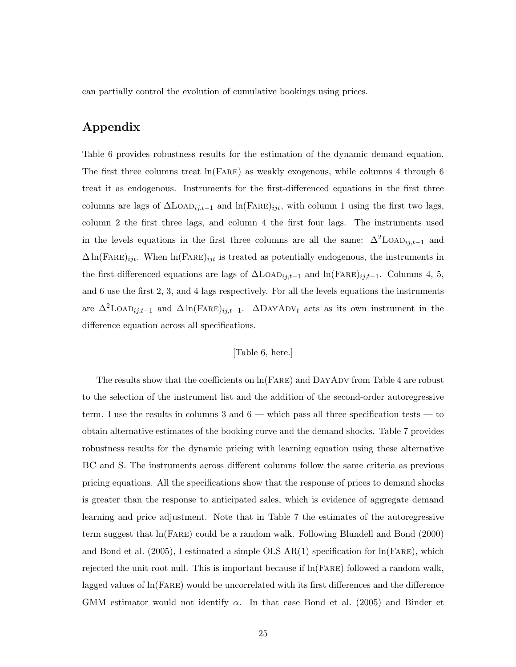can partially control the evolution of cumulative bookings using prices.

## Appendix

Table 6 provides robustness results for the estimation of the dynamic demand equation. The first three columns treat ln(Fare) as weakly exogenous, while columns 4 through 6 treat it as endogenous. Instruments for the first-differenced equations in the first three columns are lags of  $\Delta$ LOAD<sub>ij,t−1</sub> and ln(FARE)<sub>ijt</sub>, with column 1 using the first two lags, column 2 the first three lags, and column 4 the first four lags. The instruments used in the levels equations in the first three columns are all the same:  $\Delta^2$ LOAD<sub>ij,t−1</sub> and  $\Delta \ln(\text{FARE})_{ijt}$ . When  $\ln(\text{FARE})_{ijt}$  is treated as potentially endogenous, the instruments in the first-differenced equations are lags of  $\Delta$ LOAD<sub>ij,t−1</sub> and ln(FARE)<sub>ij,t−1</sub>. Columns 4, 5, and 6 use the first 2, 3, and 4 lags respectively. For all the levels equations the instruments are  $\Delta^2$ LOAD<sub>ij,t−1</sub> and  $\Delta \ln(\text{FARE})_{ij,t-1}$ .  $\Delta \text{DAYADV}_t$  acts as its own instrument in the difference equation across all specifications.

#### [Table 6, here.]

The results show that the coefficients on  $\ln(\text{FARE})$  and DAYADV from Table 4 are robust to the selection of the instrument list and the addition of the second-order autoregressive term. I use the results in columns 3 and 6 — which pass all three specification tests — to obtain alternative estimates of the booking curve and the demand shocks. Table 7 provides robustness results for the dynamic pricing with learning equation using these alternative BC and S. The instruments across different columns follow the same criteria as previous pricing equations. All the specifications show that the response of prices to demand shocks is greater than the response to anticipated sales, which is evidence of aggregate demand learning and price adjustment. Note that in Table 7 the estimates of the autoregressive term suggest that ln(Fare) could be a random walk. Following Blundell and Bond (2000) and Bond et al.  $(2005)$ , I estimated a simple OLS  $AR(1)$  specification for  $\ln(\text{FARE})$ , which rejected the unit-root null. This is important because if ln(Fare) followed a random walk, lagged values of ln(Fare) would be uncorrelated with its first differences and the difference GMM estimator would not identify  $\alpha$ . In that case Bond et al. (2005) and Binder et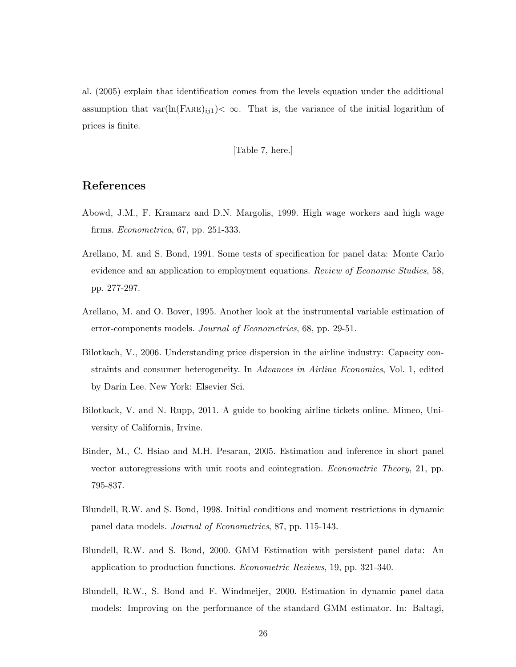al. (2005) explain that identification comes from the levels equation under the additional assumption that  $var(ln(FARE)_{ij1}) < \infty$ . That is, the variance of the initial logarithm of prices is finite.

## [Table 7, here.]

## References

- Abowd, J.M., F. Kramarz and D.N. Margolis, 1999. High wage workers and high wage firms. Econometrica, 67, pp. 251-333.
- Arellano, M. and S. Bond, 1991. Some tests of specification for panel data: Monte Carlo evidence and an application to employment equations. Review of Economic Studies, 58, pp. 277-297.
- Arellano, M. and O. Bover, 1995. Another look at the instrumental variable estimation of error-components models. Journal of Econometrics, 68, pp. 29-51.
- Bilotkach, V., 2006. Understanding price dispersion in the airline industry: Capacity constraints and consumer heterogeneity. In Advances in Airline Economics, Vol. 1, edited by Darin Lee. New York: Elsevier Sci.
- Bilotkack, V. and N. Rupp, 2011. A guide to booking airline tickets online. Mimeo, University of California, Irvine.
- Binder, M., C. Hsiao and M.H. Pesaran, 2005. Estimation and inference in short panel vector autoregressions with unit roots and cointegration. Econometric Theory, 21, pp. 795-837.
- Blundell, R.W. and S. Bond, 1998. Initial conditions and moment restrictions in dynamic panel data models. Journal of Econometrics, 87, pp. 115-143.
- Blundell, R.W. and S. Bond, 2000. GMM Estimation with persistent panel data: An application to production functions. Econometric Reviews, 19, pp. 321-340.
- Blundell, R.W., S. Bond and F. Windmeijer, 2000. Estimation in dynamic panel data models: Improving on the performance of the standard GMM estimator. In: Baltagi,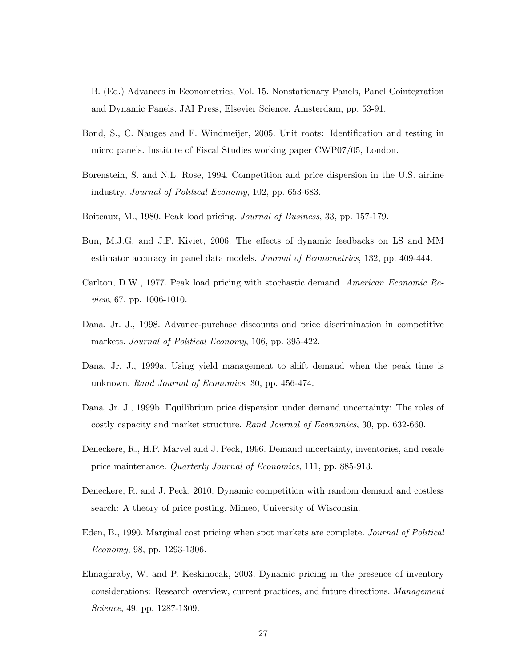B. (Ed.) Advances in Econometrics, Vol. 15. Nonstationary Panels, Panel Cointegration and Dynamic Panels. JAI Press, Elsevier Science, Amsterdam, pp. 53-91.

- Bond, S., C. Nauges and F. Windmeijer, 2005. Unit roots: Identification and testing in micro panels. Institute of Fiscal Studies working paper CWP07/05, London.
- Borenstein, S. and N.L. Rose, 1994. Competition and price dispersion in the U.S. airline industry. Journal of Political Economy, 102, pp. 653-683.
- Boiteaux, M., 1980. Peak load pricing. Journal of Business, 33, pp. 157-179.
- Bun, M.J.G. and J.F. Kiviet, 2006. The effects of dynamic feedbacks on LS and MM estimator accuracy in panel data models. Journal of Econometrics, 132, pp. 409-444.
- Carlton, D.W., 1977. Peak load pricing with stochastic demand. American Economic Review, 67, pp. 1006-1010.
- Dana, Jr. J., 1998. Advance-purchase discounts and price discrimination in competitive markets. Journal of Political Economy, 106, pp. 395-422.
- Dana, Jr. J., 1999a. Using yield management to shift demand when the peak time is unknown. Rand Journal of Economics, 30, pp. 456-474.
- Dana, Jr. J., 1999b. Equilibrium price dispersion under demand uncertainty: The roles of costly capacity and market structure. Rand Journal of Economics, 30, pp. 632-660.
- Deneckere, R., H.P. Marvel and J. Peck, 1996. Demand uncertainty, inventories, and resale price maintenance. Quarterly Journal of Economics, 111, pp. 885-913.
- Deneckere, R. and J. Peck, 2010. Dynamic competition with random demand and costless search: A theory of price posting. Mimeo, University of Wisconsin.
- Eden, B., 1990. Marginal cost pricing when spot markets are complete. Journal of Political Economy, 98, pp. 1293-1306.
- Elmaghraby, W. and P. Keskinocak, 2003. Dynamic pricing in the presence of inventory considerations: Research overview, current practices, and future directions. Management Science, 49, pp. 1287-1309.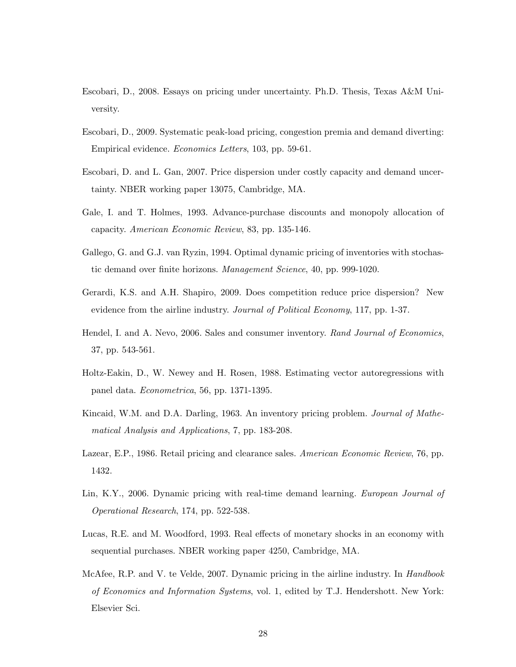- Escobari, D., 2008. Essays on pricing under uncertainty. Ph.D. Thesis, Texas A&M University.
- Escobari, D., 2009. Systematic peak-load pricing, congestion premia and demand diverting: Empirical evidence. Economics Letters, 103, pp. 59-61.
- Escobari, D. and L. Gan, 2007. Price dispersion under costly capacity and demand uncertainty. NBER working paper 13075, Cambridge, MA.
- Gale, I. and T. Holmes, 1993. Advance-purchase discounts and monopoly allocation of capacity. American Economic Review, 83, pp. 135-146.
- Gallego, G. and G.J. van Ryzin, 1994. Optimal dynamic pricing of inventories with stochastic demand over finite horizons. Management Science, 40, pp. 999-1020.
- Gerardi, K.S. and A.H. Shapiro, 2009. Does competition reduce price dispersion? New evidence from the airline industry. Journal of Political Economy, 117, pp. 1-37.
- Hendel, I. and A. Nevo, 2006. Sales and consumer inventory. Rand Journal of Economics, 37, pp. 543-561.
- Holtz-Eakin, D., W. Newey and H. Rosen, 1988. Estimating vector autoregressions with panel data. Econometrica, 56, pp. 1371-1395.
- Kincaid, W.M. and D.A. Darling, 1963. An inventory pricing problem. Journal of Mathematical Analysis and Applications, 7, pp. 183-208.
- Lazear, E.P., 1986. Retail pricing and clearance sales. American Economic Review, 76, pp. 1432.
- Lin, K.Y., 2006. Dynamic pricing with real-time demand learning. *European Journal of* Operational Research, 174, pp. 522-538.
- Lucas, R.E. and M. Woodford, 1993. Real effects of monetary shocks in an economy with sequential purchases. NBER working paper 4250, Cambridge, MA.
- McAfee, R.P. and V. te Velde, 2007. Dynamic pricing in the airline industry. In *Handbook* of Economics and Information Systems, vol. 1, edited by T.J. Hendershott. New York: Elsevier Sci.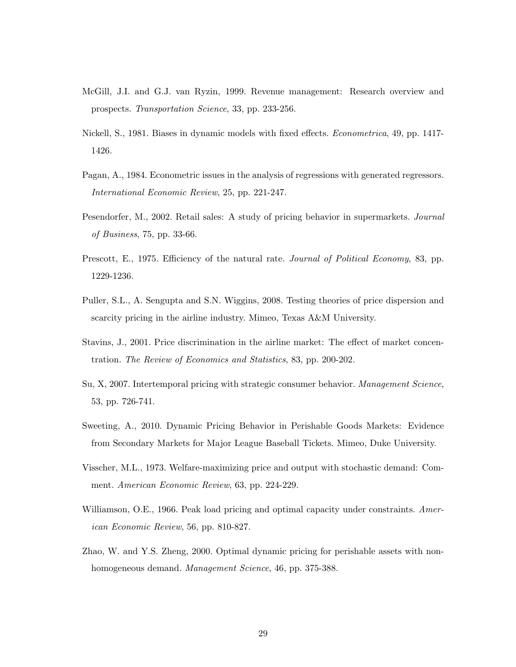- McGill, J.I. and G.J. van Ryzin, 1999. Revenue management: Research overview and prospects. Transportation Science, 33, pp. 233-256.
- Nickell, S., 1981. Biases in dynamic models with fixed effects. *Econometrica*, 49, pp. 1417-1426.
- Pagan, A., 1984. Econometric issues in the analysis of regressions with generated regressors. International Economic Review, 25, pp. 221-247.
- Pesendorfer, M., 2002. Retail sales: A study of pricing behavior in supermarkets. Journal of Business, 75, pp. 33-66.
- Prescott, E., 1975. Efficiency of the natural rate. Journal of Political Economy, 83, pp. 1229-1236.
- Puller, S.L., A. Sengupta and S.N. Wiggins, 2008. Testing theories of price dispersion and scarcity pricing in the airline industry. Mimeo, Texas A&M University.
- Stavins, J., 2001. Price discrimination in the airline market: The effect of market concentration. The Review of Economics and Statistics, 83, pp. 200-202.
- Su, X, 2007. Intertemporal pricing with strategic consumer behavior. Management Science, 53, pp. 726-741.
- Sweeting, A., 2010. Dynamic Pricing Behavior in Perishable Goods Markets: Evidence from Secondary Markets for Major League Baseball Tickets. Mimeo, Duke University.
- Visscher, M.L., 1973. Welfare-maximizing price and output with stochastic demand: Comment. American Economic Review, 63, pp. 224-229.
- Williamson, O.E., 1966. Peak load pricing and optimal capacity under constraints. American Economic Review, 56, pp. 810-827.
- Zhao, W. and Y.S. Zheng, 2000. Optimal dynamic pricing for perishable assets with nonhomogeneous demand. Management Science, 46, pp. 375-388.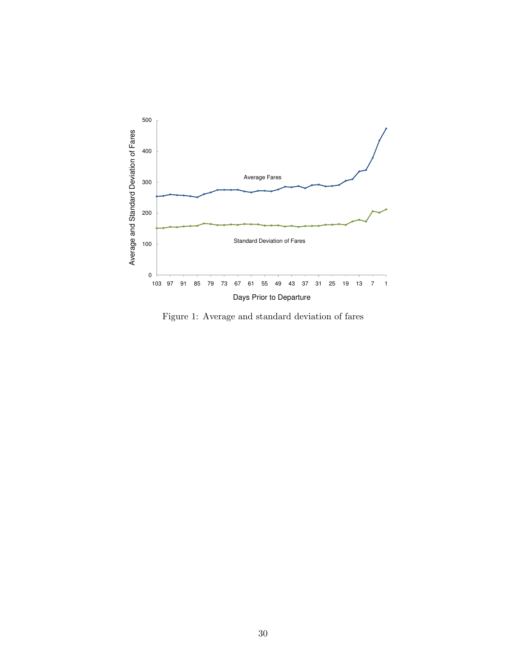

Figure 1: Average and standard deviation of fares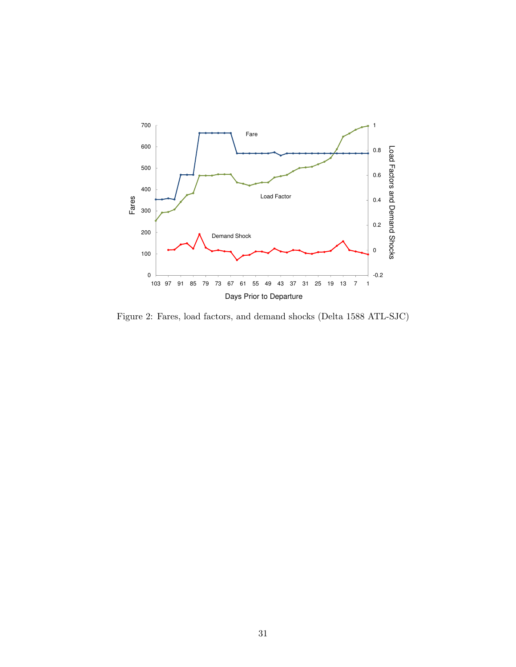

Figure 2: Fares, load factors, and demand shocks (Delta 1588 ATL-SJC)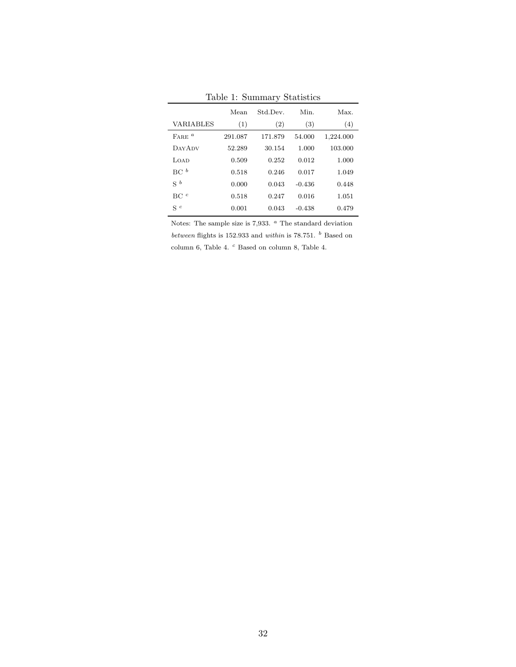|                  | Mean    | Std.Dev. | Min.     | Max.      |  |
|------------------|---------|----------|----------|-----------|--|
| <b>VARIABLES</b> | (1)     | (2)      | (3)      | (4)       |  |
| FARE $^a$        | 291.087 | 171.879  | 54.000   | 1,224.000 |  |
| DAYADV           | 52.289  | 30.154   | 1.000    | 103.000   |  |
| LOAD             | 0.509   | 0.252    | 0.012    | 1.000     |  |
| $BC^b$           | 0.518   | 0.246    | 0.017    | 1.049     |  |
| $S^b$            | 0.000   | 0.043    | $-0.436$ | 0.448     |  |
| BC <sup>c</sup>  | 0.518   | 0.247    | 0.016    | 1.051     |  |
| S <sup>c</sup>   | 0.001   | 0.043    | $-0.438$ | 0.479     |  |

Table 1: Summary Statistics

Notes: The sample size is 7,933.  $\alpha$  The standard deviation between flights is 152.933 and within is 78.751.  $^b$  Based on column 6, Table 4.  $^c$  Based on column 8, Table 4.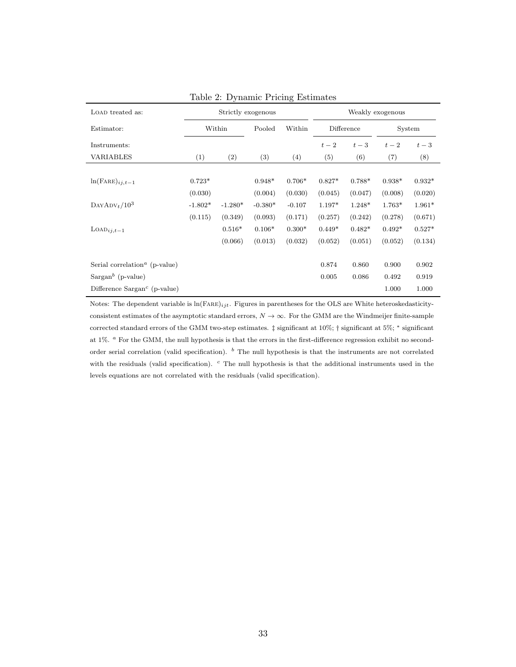| LOAD treated as:                                       | Weakly exogenous<br>Strictly exogenous |           |           |          |            |          |          |          |
|--------------------------------------------------------|----------------------------------------|-----------|-----------|----------|------------|----------|----------|----------|
| Estimator:                                             |                                        | Within    | Pooled    | Within   | Difference |          |          | System   |
| Instruments:                                           |                                        |           |           |          | $t-2$      | $t-3$    | $t-2$    | $t-3$    |
| VARIABLES                                              | (1)                                    | (2)       | (3)       | (4)      | (5)        | (6)      | (7)      | (8)      |
|                                                        |                                        |           |           |          |            |          |          |          |
| $ln(FARE)_{ij,t-1}$                                    | $0.723*$                               |           | $0.948*$  | $0.706*$ | $0.827*$   | $0.788*$ | $0.938*$ | $0.932*$ |
|                                                        | (0.030)                                |           | (0.004)   | (0.030)  | (0.045)    | (0.047)  | (0.008)  | (0.020)  |
| $\text{DayAov}_t/10^3$                                 | $-1.802*$                              | $-1.280*$ | $-0.380*$ | $-0.107$ | 1.197*     | $1.248*$ | $1.763*$ | $1.961*$ |
|                                                        | (0.115)                                | (0.349)   | (0.093)   | (0.171)  | (0.257)    | (0.242)  | (0.278)  | (0.671)  |
| $\text{LOAD}_{ij,t-1}$                                 |                                        | $0.516*$  | $0.106*$  | $0.300*$ | $0.449*$   | $0.482*$ | $0.492*$ | $0.527*$ |
|                                                        |                                        | (0.066)   | (0.013)   | (0.032)  | (0.052)    | (0.051)  | (0.052)  | (0.134)  |
|                                                        |                                        |           |           |          |            |          |          |          |
| Serial correlation <sup><math>a</math></sup> (p-value) |                                        |           |           |          | 0.874      | 0.860    | 0.900    | 0.902    |
| $Sargan^b$ (p-value)                                   |                                        |           |           |          | 0.005      | 0.086    | 0.492    | 0.919    |
| Difference $Sargan^c$ (p-value)                        |                                        |           |           |          |            |          | 1.000    | 1.000    |

Table 2: Dynamic Pricing Estimates

Notes: The dependent variable is  $\ln(\text{FARE})_{ijt}$ . Figures in parentheses for the OLS are White heteroskedasticityconsistent estimates of the asymptotic standard errors,  $N \to \infty$ . For the GMM are the Windmeijer finite-sample corrected standard errors of the GMM two-step estimates. ‡ significant at 10%; † significant at 5%; <sup>∗</sup> significant at 1%. <sup>a</sup> For the GMM, the null hypothesis is that the errors in the first-difference regression exhibit no secondorder serial correlation (valid specification).  $<sup>b</sup>$  The null hypothesis is that the instruments are not correlated</sup> with the residuals (valid specification). <sup>c</sup> The null hypothesis is that the additional instruments used in the levels equations are not correlated with the residuals (valid specification).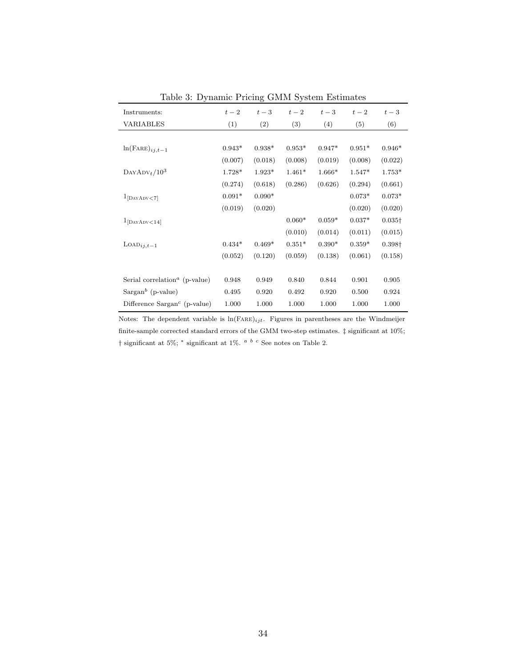| Instruments:                                     | $t-2$    | $t-3$    | $t-2$    | $t-3$    | $t-2$    | $t-3$          |
|--------------------------------------------------|----------|----------|----------|----------|----------|----------------|
| <b>VARIABLES</b>                                 | (1)      | (2)      | (3)      | (4)      | (5)      | (6)            |
|                                                  |          |          |          |          |          |                |
| $ln(FARE)_{ij,t-1}$                              | $0.943*$ | $0.938*$ | $0.953*$ | $0.947*$ | $0.951*$ | $0.946*$       |
|                                                  | (0.007)  | (0.018)  | (0.008)  | (0.019)  | (0.008)  | (0.022)        |
| $\text{DayADV}_t/10^3$                           | $1.728*$ | $1.923*$ | $1.461*$ | 1.666*   | $1.547*$ | $1.753*$       |
|                                                  | (0.274)  | (0.618)  | (0.286)  | (0.626)  | (0.294)  | (0.661)        |
| $1_{\text{[DayADV <7]}}$                         | $0.091*$ | $0.090*$ |          |          | $0.073*$ | $0.073*$       |
|                                                  | (0.019)  | (0.020)  |          |          | (0.020)  | (0.020)        |
| $1$ [DAYADV<14]                                  |          |          | $0.060*$ | $0.059*$ | $0.037*$ | $0.035\dagger$ |
|                                                  |          |          | (0.010)  | (0.014)  | (0.011)  | (0.015)        |
| $\text{LOAD}_{ij,t-1}$                           | $0.434*$ | $0.469*$ | $0.351*$ | $0.390*$ | $0.359*$ | $0.398\dagger$ |
|                                                  | (0.052)  | (0.120)  | (0.059)  | (0.138)  | (0.061)  | (0.158)        |
|                                                  |          |          |          |          |          |                |
| Serial correlation <sup><i>a</i></sup> (p-value) | 0.948    | 0.949    | 0.840    | 0.844    | 0.901    | 0.905          |
| Sargan <sup>b</sup> (p-value)                    | 0.495    | 0.920    | 0.492    | 0.920    | 0.500    | 0.924          |
| Difference $Sargan^c$ (p-value)                  | 1.000    | 1.000    | 1.000    | 1.000    | 1.000    | 1.000          |

Table 3: Dynamic Pricing GMM System Estimates

 $\overline{\phantom{0}}$ 

 $\overline{a}$ 

Notes: The dependent variable is  $\ln(\textsc{Fare})_{ijt}.$  Figures in parentheses are the Windmeijer finite-sample corrected standard errors of the GMM two-step estimates.  $\ddagger$  significant at 10%;  $\dagger$  significant at 5%;  $^*$  significant at 1%.  $^a$   $^b$   $^c$  See notes on Table 2.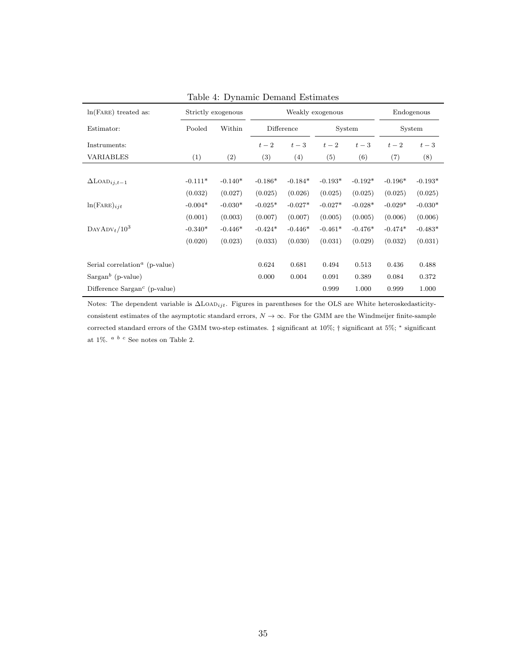| $ln(FARE)$ treated as:                                 |           | Strictly exogenous |            | Weakly exogenous |           |           |           | Endogenous |
|--------------------------------------------------------|-----------|--------------------|------------|------------------|-----------|-----------|-----------|------------|
| Estimator:                                             | Pooled    | Within             | Difference |                  |           | System    | System    |            |
| Instruments:                                           |           |                    | $t-2$      | $t-3$            |           | $t-3$     | $t-2$     | $t-3$      |
| <b>VARIABLES</b>                                       | (1)       | (2)                | (3)        | (4)              | (5)       | (6)       | (7)       | (8)        |
|                                                        |           |                    |            |                  |           |           |           |            |
| $\Delta$ LOAD <sub>ij</sub> , $t-1$                    | $-0.111*$ | $-0.140*$          | $-0.186*$  | $-0.184*$        | $-0.193*$ | $-0.192*$ | $-0.196*$ | $-0.193*$  |
|                                                        | (0.032)   | (0.027)            | (0.025)    | (0.026)          | (0.025)   | (0.025)   | (0.025)   | (0.025)    |
| $ln(FARE)_{iit}$                                       | $-0.004*$ | $-0.030*$          | $-0.025*$  | $-0.027*$        | $-0.027*$ | $-0.028*$ | $-0.029*$ | $-0.030*$  |
|                                                        | (0.001)   | (0.003)            | (0.007)    | (0.007)          | (0.005)   | (0.005)   | (0.006)   | (0.006)    |
| $\text{Day} \text{ADV}_t / 10^3$                       | $-0.340*$ | $-0.446*$          | $-0.424*$  | $-0.446*$        | $-0.461*$ | $-0.476*$ | $-0.474*$ | $-0.483*$  |
|                                                        | (0.020)   | (0.023)            | (0.033)    | (0.030)          | (0.031)   | (0.029)   | (0.032)   | (0.031)    |
|                                                        |           |                    |            |                  |           |           |           |            |
| Serial correlation <sup><math>a</math></sup> (p-value) |           |                    | 0.624      | 0.681            | 0.494     | 0.513     | 0.436     | 0.488      |
| $Sargan^b$ (p-value)                                   |           |                    | 0.000      | 0.004            | 0.091     | 0.389     | 0.084     | 0.372      |
| Difference $Sargan^c$ (p-value)                        |           |                    |            |                  | 0.999     | 1.000     | 0.999     | 1.000      |

Table 4: Dynamic Demand Estimates

Notes: The dependent variable is  $\Delta$ LOAD<sub>ijt</sub>. Figures in parentheses for the OLS are White heteroskedasticityconsistent estimates of the asymptotic standard errors,  $N \to \infty$ . For the GMM are the Windmeijer finite-sample corrected standard errors of the GMM two-step estimates. ‡ significant at 10%; † significant at 5%; <sup>∗</sup> significant at 1%. $^{\,a\ \,b\ \,c}$  See notes on Table 2.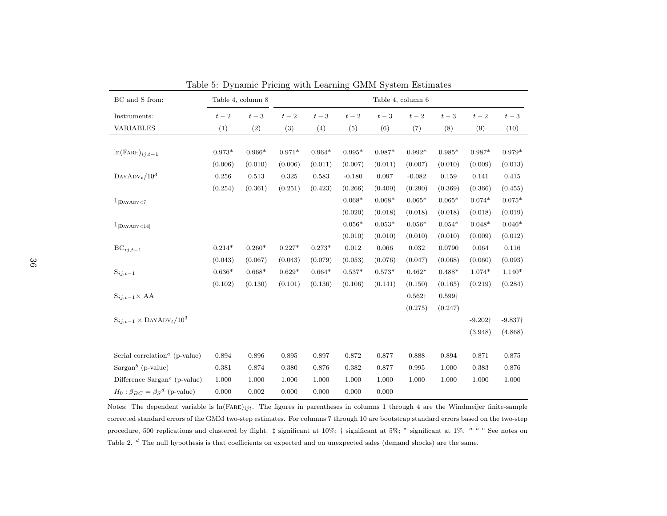| BC and S from:                                   |          | Table 4, column 8 |           |          |                |          | Table 4, column 6 |          |                       |                       |
|--------------------------------------------------|----------|-------------------|-----------|----------|----------------|----------|-------------------|----------|-----------------------|-----------------------|
| Instruments:                                     | $t-2$    | $t-3$             | $t-2$     | $t-3$    | $t-2$          | $t-3$    | $t-2$             | $t-3$    | $t-2$                 | $t-3$                 |
| VARIABLES                                        | (1)      | (2)               | (3)       | (4)      | (5)            | (6)      | (7)               | (8)      | (9)                   | (10)                  |
|                                                  |          |                   |           |          |                |          |                   |          |                       |                       |
| $\ln(\text{FARE})_{ij,t-1}$                      | $0.973*$ | $0.966*$          | $0.971*$  | $0.964*$ | $0.995^{\ast}$ | $0.987*$ | $0.992*$          | $0.985*$ | $0.987*$              | $0.979*$              |
|                                                  | (0.006)  | (0.010)           | (0.006)   | (0.011)  | (0.007)        | (0.011)  | (0.007)           | (0.010)  | (0.009)               | (0.013)               |
| $\text{DayAdv}_t/10^3$                           | 0.256    | 0.513             | $0.325\,$ | 0.583    | $-0.180$       | 0.097    | $-0.082$          | 0.159    | 0.141                 | 0.415                 |
|                                                  | (0.254)  | (0.361)           | (0.251)   | (0.423)  | (0.266)        | (0.409)  | (0.290)           | (0.369)  | (0.366)               | (0.455)               |
| $1_{\text{[DayADV <7]}}$                         |          |                   |           |          | $0.068*$       | $0.068*$ | $0.065*$          | $0.065*$ | $0.074*$              | $0.075*$              |
|                                                  |          |                   |           |          | (0.020)        | (0.018)  | (0.018)           | (0.018)  | (0.018)               | (0.019)               |
| $1_{\rm [DarADV < 14]}$                          |          |                   |           |          | $0.056*$       | $0.053*$ | $0.056*$          | $0.054*$ | $0.048*$              | $0.046*$              |
|                                                  |          |                   |           |          | (0.010)        | (0.010)  | (0.010)           | (0.010)  | (0.009)               | (0.012)               |
| $BC_{ij,t-1}$                                    | $0.214*$ | $0.260*$          | $0.227*$  | $0.273*$ | 0.012          | 0.066    | 0.032             | 0.0790   | 0.064                 | 0.116                 |
|                                                  | (0.043)  | (0.067)           | (0.043)   | (0.079)  | (0.053)        | (0.076)  | (0.047)           | (0.068)  | (0.060)               | (0.093)               |
| $S_{ij,t-1}$                                     | $0.636*$ | $0.668*$          | $0.629*$  | $0.664*$ | $0.537*$       | $0.573*$ | $0.462*$          | $0.488*$ | 1.074*                | $1.140*$              |
|                                                  | (0.102)  | (0.130)           | (0.101)   | (0.136)  | (0.106)        | (0.141)  | (0.150)           | (0.165)  | (0.219)               | (0.284)               |
| $S_{ij,t-1} \times AA$                           |          |                   |           |          |                |          | $0.562\dagger$    | 0.599†   |                       |                       |
|                                                  |          |                   |           |          |                |          | (0.275)           | (0.247)  |                       |                       |
| $S_{ij,t-1} \times \text{DayADV}_t / 10^3$       |          |                   |           |          |                |          |                   |          | $-9.202$ <sup>+</sup> | $-9.837$ <sup>+</sup> |
|                                                  |          |                   |           |          |                |          |                   |          | (3.948)               | (4.868)               |
|                                                  |          |                   |           |          |                |          |                   |          |                       |                       |
| Serial correlation <sup><i>a</i></sup> (p-value) | 0.894    | 0.896             | 0.895     | 0.897    | 0.872          | 0.877    | 0.888             | 0.894    | 0.871                 | 0.875                 |
| Sargan <sup>b</sup> (p-value)                    | 0.381    | 0.874             | 0.380     | 0.876    | 0.382          | 0.877    | 0.995             | 1.000    | 0.383                 | 0.876                 |
| Difference $Sargan^c$ (p-value)                  | 1.000    | 1.000             | 1.000     | 1.000    | 1.000          | 1.000    | 1.000             | 1.000    | 1.000                 | 1.000                 |
| $H_0: \beta_{BC} = \beta_S^d$ (p-value)          | 0.000    | 0.002             | 0.000     | 0.000    | 0.000          | 0.000    |                   |          |                       |                       |

Table 5: Dynamic Pricing with Learning GMM System Estimates

Notes: The dependent variable is  $ln(FARE)_{ijt}$ . The figures in parentheses in columns 1 through 4 are the Windmeijer finite-sample corrected standard errors of the GMM two-step estimates. For columns <sup>7</sup> through <sup>10</sup> are bootstrap standard errors based on the two-step procedure, 500 replications and clustered by flight. ‡ significant at 10%; † significant at 5%; \* significant at 1%. <sup>a b c</sup> See notes on Table 2. <sup>d</sup> The null hypothesis is that coefficients on expected and on unexpected sales (demand shocks) are the same.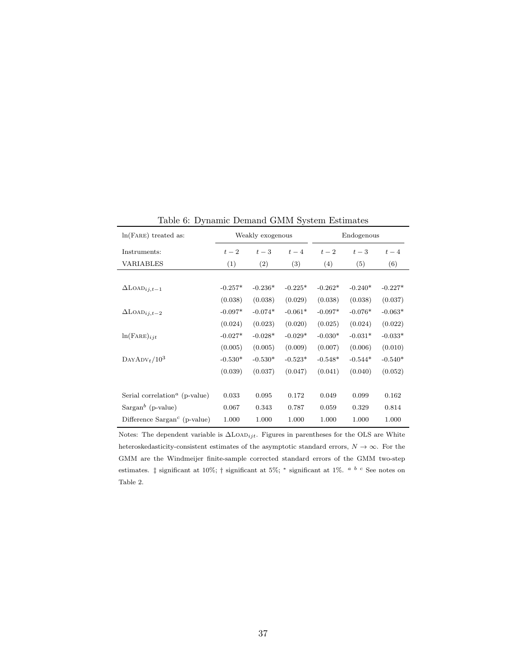| $ln(FARE)$ treated as:                                 |           | Weakly exogenous |           | Endogenous |           |           |  |  |
|--------------------------------------------------------|-----------|------------------|-----------|------------|-----------|-----------|--|--|
| Instruments:                                           | $t-2$     | $t-3$            | $t-4$     | $t-2$      | $t-3$     | $t-4$     |  |  |
| VARIABLES                                              | (1)       | (2)              | (3)       | (4)        | (5)       | (6)       |  |  |
|                                                        |           |                  |           |            |           |           |  |  |
| $\Delta$ LOAD <sub>ij,t-1</sub>                        | $-0.257*$ | $-0.236*$        | $-0.225*$ | $-0.262*$  | $-0.240*$ | $-0.227*$ |  |  |
|                                                        | (0.038)   | (0.038)          | (0.029)   | (0.038)    | (0.038)   | (0.037)   |  |  |
| $\Delta$ LOAD <sub>ij</sub> <sub>t-2</sub>             | $-0.097*$ | $-0.074*$        | $-0.061*$ | $-0.097*$  | $-0.076*$ | $-0.063*$ |  |  |
|                                                        | (0.024)   | (0.023)          | (0.020)   | (0.025)    | (0.024)   | (0.022)   |  |  |
| $ln(FARE)_{ijt}$                                       | $-0.027*$ | $-0.028*$        | $-0.029*$ | $-0.030*$  | $-0.031*$ | $-0.033*$ |  |  |
|                                                        | (0.005)   | (0.005)          | (0.009)   | (0.007)    | (0.006)   | (0.010)   |  |  |
| $\text{DayADV}_t/10^3$                                 | $-0.530*$ | $-0.530*$        | $-0.523*$ | $-0.548*$  | $-0.544*$ | $-0.540*$ |  |  |
|                                                        | (0.039)   | (0.037)          | (0.047)   | (0.041)    | (0.040)   | (0.052)   |  |  |
|                                                        |           |                  |           |            |           |           |  |  |
| Serial correlation <sup><math>a</math></sup> (p-value) | 0.033     | 0.095            | 0.172     | 0.049      | 0.099     | 0.162     |  |  |
| Sargan <sup>b</sup> (p-value)                          | 0.067     | 0.343            | 0.787     | 0.059      | 0.329     | 0.814     |  |  |
| Difference $Sargan^c$ (p-value)                        | 1.000     | 1.000            | 1.000     | 1.000      | 1.000     | 1.000     |  |  |

Table 6: Dynamic Demand GMM System Estimates

Notes: The dependent variable is  $\Delta$ LOAD<sub>ijt</sub>. Figures in parentheses for the OLS are White heteroskedasticity-consistent estimates of the asymptotic standard errors,  $N \to \infty$ . For the GMM are the Windmeijer finite-sample corrected standard errors of the GMM two-step estimates. ‡ significant at 10%; † significant at 5%; <sup>∗</sup> significant at 1%. a b c See notes on Table 2.